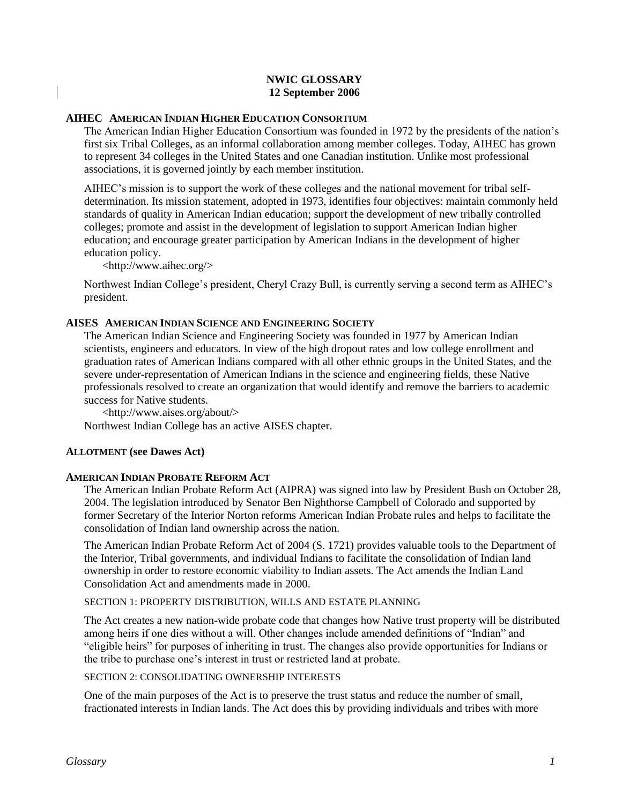## **NWIC GLOSSARY 12 September 2006**

## **AIHEC AMERICAN INDIAN HIGHER EDUCATION CONSORTIUM**

The American Indian Higher Education Consortium was founded in 1972 by the presidents of the nation's first six Tribal Colleges, as an informal collaboration among member colleges. Today, AIHEC has grown to represent 34 colleges in the United States and one Canadian institution. Unlike most professional associations, it is governed jointly by each member institution.

AIHEC's mission is to support the work of these colleges and the national movement for tribal selfdetermination. Its mission statement, adopted in 1973, identifies four objectives: maintain commonly held standards of quality in American Indian education; support the development of new tribally controlled colleges; promote and assist in the development of legislation to support American Indian higher education; and encourage greater participation by American Indians in the development of higher education policy.

<http://www.aihec.org/>

Northwest Indian College's president, Cheryl Crazy Bull, is currently serving a second term as AIHEC's president.

## **AISES AMERICAN INDIAN SCIENCE AND ENGINEERING SOCIETY**

The American Indian Science and Engineering Society was founded in 1977 by American Indian scientists, engineers and educators. In view of the high dropout rates and low college enrollment and graduation rates of American Indians compared with all other ethnic groups in the United States, and the severe under-representation of American Indians in the science and engineering fields, these Native professionals resolved to create an organization that would identify and remove the barriers to academic success for Native students.

<http://www.aises.org/about/> Northwest Indian College has an active AISES chapter.

#### **ALLOTMENT (see Dawes Act)**

#### **AMERICAN INDIAN PROBATE REFORM ACT**

The American Indian Probate Reform Act (AIPRA) was signed into law by President Bush on October 28, 2004. The legislation introduced by Senator Ben Nighthorse Campbell of Colorado and supported by former Secretary of the Interior Norton reforms American Indian Probate rules and helps to facilitate the consolidation of Indian land ownership across the nation.

The American Indian Probate Reform Act of 2004 (S. 1721) provides valuable tools to the Department of the Interior, Tribal governments, and individual Indians to facilitate the consolidation of Indian land ownership in order to restore economic viability to Indian assets. The Act amends the Indian Land Consolidation Act and amendments made in 2000.

SECTION 1: PROPERTY DISTRIBUTION, WILLS AND ESTATE PLANNING

The Act creates a new nation-wide probate code that changes how Native trust property will be distributed among heirs if one dies without a will. Other changes include amended definitions of "Indian" and "eligible heirs" for purposes of inheriting in trust. The changes also provide opportunities for Indians or the tribe to purchase one's interest in trust or restricted land at probate.

## SECTION 2: CONSOLIDATING OWNERSHIP INTERESTS

One of the main purposes of the Act is to preserve the trust status and reduce the number of small, fractionated interests in Indian lands. The Act does this by providing individuals and tribes with more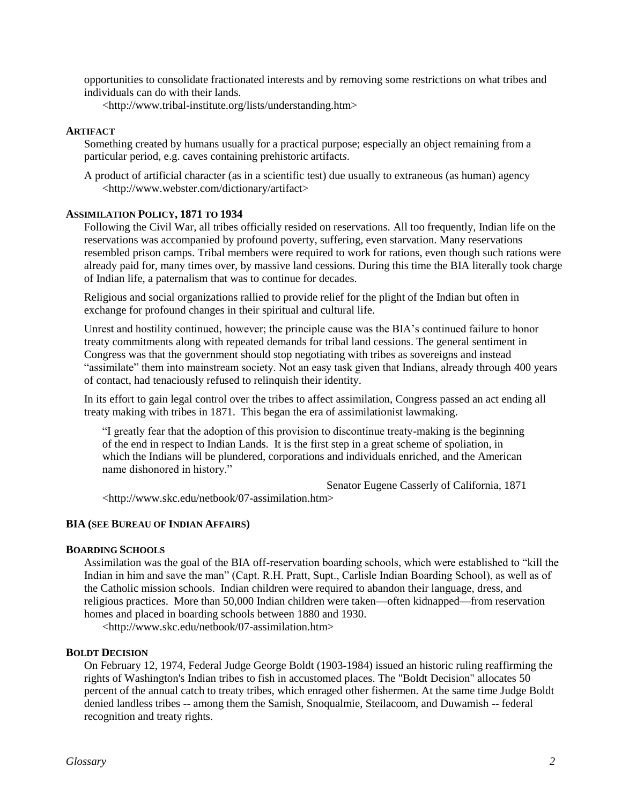opportunities to consolidate fractionated interests and by removing some restrictions on what tribes and individuals can do with their lands.

<http://www.tribal-institute.org/lists/understanding.htm>

## **ARTIFACT**

Something created by humans usually for a practical purpose; especially an object remaining from a particular period, e.g. caves containing prehistoric artifact*s*.

A product of artificial character (as in a scientific test) due usually to extraneous (as human) agency <http://www.webster.com/dictionary/artifact>

## **ASSIMILATION POLICY, 1871 TO 1934**

Following the Civil War, all tribes officially resided on reservations. All too frequently, Indian life on the reservations was accompanied by profound poverty, suffering, even starvation. Many reservations resembled prison camps. Tribal members were required to work for rations, even though such rations were already paid for, many times over, by massive land cessions. During this time the BIA literally took charge of Indian life, a paternalism that was to continue for decades.

Religious and social organizations rallied to provide relief for the plight of the Indian but often in exchange for profound changes in their spiritual and cultural life.

Unrest and hostility continued, however; the principle cause was the BIA's continued failure to honor treaty commitments along with repeated demands for tribal land cessions. The general sentiment in Congress was that the government should stop negotiating with tribes as sovereigns and instead "assimilate" them into mainstream society. Not an easy task given that Indians, already through 400 years of contact, had tenaciously refused to relinquish their identity.

In its effort to gain legal control over the tribes to affect assimilation, Congress passed an act ending all treaty making with tribes in 1871. This began the era of assimilationist lawmaking.

"I greatly fear that the adoption of this provision to discontinue treaty-making is the beginning of the end in respect to Indian Lands. It is the first step in a great scheme of spoliation, in which the Indians will be plundered, corporations and individuals enriched, and the American name dishonored in history."

Senator Eugene Casserly of California, 1871

<http://www.skc.edu/netbook/07-assimilation.htm>

#### **BIA (SEE BUREAU OF INDIAN AFFAIRS)**

#### **BOARDING SCHOOLS**

Assimilation was the goal of the BIA off-reservation boarding schools, which were established to "kill the Indian in him and save the man" (Capt. R.H. Pratt, Supt., Carlisle Indian Boarding School), as well as of the Catholic mission schools. Indian children were required to abandon their language, dress, and religious practices. More than 50,000 Indian children were taken—often kidnapped—from reservation homes and placed in boarding schools between 1880 and 1930.

<http://www.skc.edu/netbook/07-assimilation.htm>

## **BOLDT DECISION**

On February 12, 1974, Federal Judge George Boldt (1903-1984) issued an historic ruling reaffirming the rights of Washington's Indian tribes to fish in accustomed places. The "Boldt Decision" allocates 50 percent of the annual catch to treaty tribes, which enraged other fishermen. At the same time Judge Boldt denied landless tribes -- among them the Samish, Snoqualmie, Steilacoom, and Duwamish -- federal recognition and treaty rights.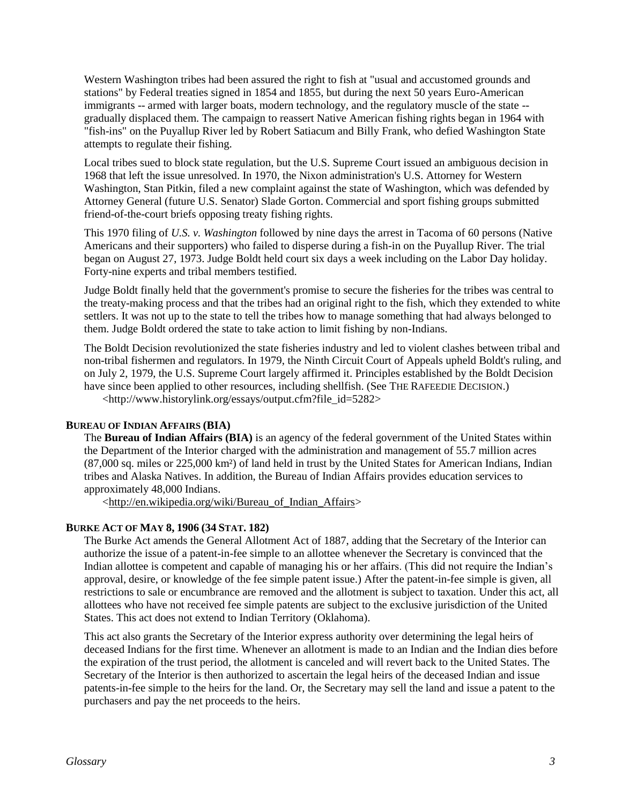Western Washington tribes had been assured the right to fish at "usual and accustomed grounds and stations" by Federal treaties signed in 1854 and 1855, but during the next 50 years Euro-American immigrants -- armed with larger boats, modern technology, and the regulatory muscle of the state - gradually displaced them. The campaign to reassert Native American fishing rights began in 1964 with "fish-ins" on the Puyallup River led by Robert Satiacum and Billy Frank, who defied Washington State attempts to regulate their fishing.

Local tribes sued to block state regulation, but the U.S. Supreme Court issued an ambiguous decision in 1968 that left the issue unresolved. In 1970, the Nixon administration's U.S. Attorney for Western Washington, Stan Pitkin, filed a new complaint against the state of Washington, which was defended by Attorney General (future U.S. Senator) Slade Gorton. Commercial and sport fishing groups submitted friend-of-the-court briefs opposing treaty fishing rights.

This 1970 filing of *U.S. v. Washington* followed by nine days the arrest in Tacoma of 60 persons (Native Americans and their supporters) who failed to disperse during a fish-in on the Puyallup River. The trial began on August 27, 1973. Judge Boldt held court six days a week including on the Labor Day holiday. Forty-nine experts and tribal members testified.

Judge Boldt finally held that the government's promise to secure the fisheries for the tribes was central to the treaty-making process and that the tribes had an original right to the fish, which they extended to white settlers. It was not up to the state to tell the tribes how to manage something that had always belonged to them. Judge Boldt ordered the state to take action to limit fishing by non-Indians.

The Boldt Decision revolutionized the state fisheries industry and led to violent clashes between tribal and non-tribal fishermen and regulators. In 1979, the Ninth Circuit Court of Appeals upheld Boldt's ruling, and on July 2, 1979, the U.S. Supreme Court largely affirmed it. Principles established by the Boldt Decision have since been applied to other resources, including shellfish. (See THE RAFEEDIE DECISION.)

<http://www.historylink.org/essays/output.cfm?file\_id=5282>

## **BUREAU OF INDIAN AFFAIRS (BIA)**

The **Bureau of Indian Affairs (BIA)** is an agency of the federal government of the United States within the Department of the Interior charged with the administration and management of 55.7 million acres (87,000 sq. miles or 225,000 km²) of land held in trust by the United States for American Indians, Indian tribes and Alaska Natives. In addition, the Bureau of Indian Affairs provides education services to approximately 48,000 Indians.

[<http://en.wikipedia.org/wiki/Bureau\\_of\\_Indian\\_Affairs>](http://en.wikipedia.org/wiki/Bureau_of_Indian_Affairs)

# **BURKE ACT OF MAY 8, 1906 (34 STAT. 182)**

The Burke Act amends the General Allotment Act of 1887, adding that the Secretary of the Interior can authorize the issue of a patent-in-fee simple to an allottee whenever the Secretary is convinced that the Indian allottee is competent and capable of managing his or her affairs. (This did not require the Indian's approval, desire, or knowledge of the fee simple patent issue.) After the patent-in-fee simple is given, all restrictions to sale or encumbrance are removed and the allotment is subject to taxation. Under this act, all allottees who have not received fee simple patents are subject to the exclusive jurisdiction of the United States. This act does not extend to Indian Territory (Oklahoma).

This act also grants the Secretary of the Interior express authority over determining the legal heirs of deceased Indians for the first time. Whenever an allotment is made to an Indian and the Indian dies before the expiration of the trust period, the allotment is canceled and will revert back to the United States. The Secretary of the Interior is then authorized to ascertain the legal heirs of the deceased Indian and issue patents-in-fee simple to the heirs for the land. Or, the Secretary may sell the land and issue a patent to the purchasers and pay the net proceeds to the heirs.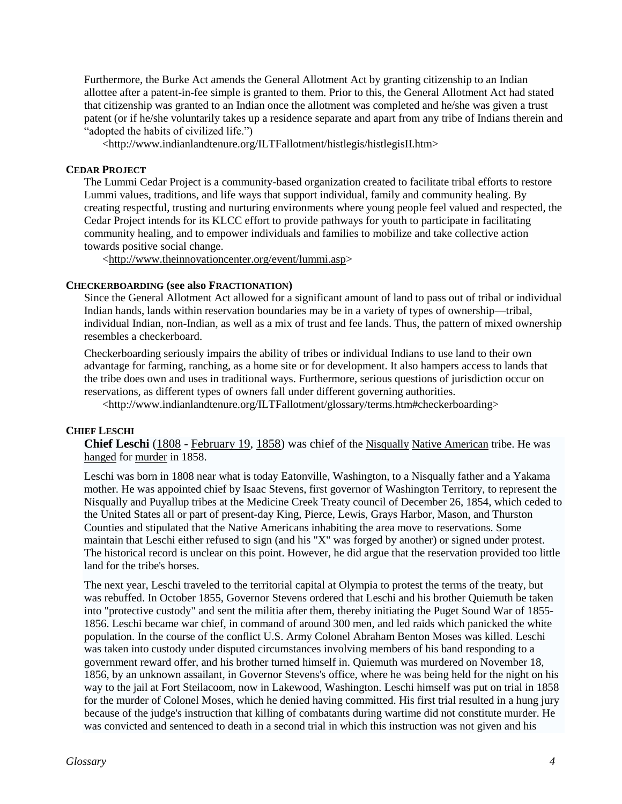Furthermore, the Burke Act amends the General Allotment Act by granting citizenship to an Indian allottee after a patent-in-fee simple is granted to them. Prior to this, the General Allotment Act had stated that citizenship was granted to an Indian once the allotment was completed and he/she was given a trust patent (or if he/she voluntarily takes up a residence separate and apart from any tribe of Indians therein and "adopted the habits of civilized life.")

<http://www.indianlandtenure.org/ILTFallotment/histlegis/histlegisII.htm>

## **CEDAR PROJECT**

The Lummi Cedar Project is a community-based organization created to facilitate tribal efforts to restore Lummi values, traditions, and life ways that support individual, family and community healing. By creating respectful, trusting and nurturing environments where young people feel valued and respected, the Cedar Project intends for its KLCC effort to provide pathways for youth to participate in facilitating community healing, and to empower individuals and families to mobilize and take collective action towards positive social change.

[<http://www.theinnovationcenter.org/event/lummi.asp>](http://www.theinnovationcenter.org/event/lummi.asp)

## **CHECKERBOARDING (see also FRACTIONATION)**

Since the General Allotment Act allowed for a significant amount of land to pass out of tribal or individual Indian hands, lands within reservation boundaries may be in a variety of types of ownership—tribal, individual Indian, non-Indian, as well as a mix of trust and fee lands. Thus, the pattern of mixed ownership resembles a checkerboard.

Checkerboarding seriously impairs the ability of tribes or individual Indians to use land to their own advantage for farming, ranching, as a home site or for development. It also hampers access to lands that the tribe does own and uses in traditional ways. Furthermore, serious questions of jurisdiction occur on reservations, as different types of owners fall under different governing authorities.

<http://www.indianlandtenure.org/ILTFallotment/glossary/terms.htm#checkerboarding>

## **CHIEF LESCHI**

**Chief Leschi** [\(1808](http://en.wikipedia.org/wiki/1808) - [February 19,](http://en.wikipedia.org/wiki/February_19) [1858\)](http://en.wikipedia.org/wiki/1858) was chief of the [Nisqually](http://en.wikipedia.org/wiki/Nisqually_%28tribe%29) [Native American](http://en.wikipedia.org/wiki/Native_Americans_in_the_United_States) tribe. He was [hanged](http://en.wikipedia.org/wiki/Hanging) for [murder](http://en.wikipedia.org/wiki/Murder) in 1858.

Leschi was born in 1808 near what is today Eatonville, Washington, to a Nisqually father and a Yakama mother. He was appointed chief by Isaac Stevens, first governor of Washington Territory, to represent the Nisqually and Puyallup tribes at the Medicine Creek Treaty council of December 26, 1854, which ceded to the United States all or part of present-day King, Pierce, Lewis, Grays Harbor, Mason, and Thurston Counties and stipulated that the Native Americans inhabiting the area move to reservations. Some maintain that Leschi either refused to sign (and his "X" was forged by another) or signed under protest. The historical record is unclear on this point. However, he did argue that the reservation provided too little land for the tribe's horses.

The next year, Leschi traveled to the territorial capital at Olympia to protest the terms of the treaty, but was rebuffed. In October 1855, Governor Stevens ordered that Leschi and his brother Quiemuth be taken into "protective custody" and sent the militia after them, thereby initiating the Puget Sound War of 1855- 1856. Leschi became war chief, in command of around 300 men, and led raids which panicked the white population. In the course of the conflict U.S. Army Colonel Abraham Benton Moses was killed. Leschi was taken into custody under disputed circumstances involving members of his band responding to a government reward offer, and his brother turned himself in. Quiemuth was murdered on November 18, 1856, by an unknown assailant, in Governor Stevens's office, where he was being held for the night on his way to the jail at Fort Steilacoom, now in Lakewood, Washington. Leschi himself was put on trial in 1858 for the murder of Colonel Moses, which he denied having committed. His first trial resulted in a hung jury because of the judge's instruction that killing of combatants during wartime did not constitute murder. He was convicted and sentenced to death in a second trial in which this instruction was not given and his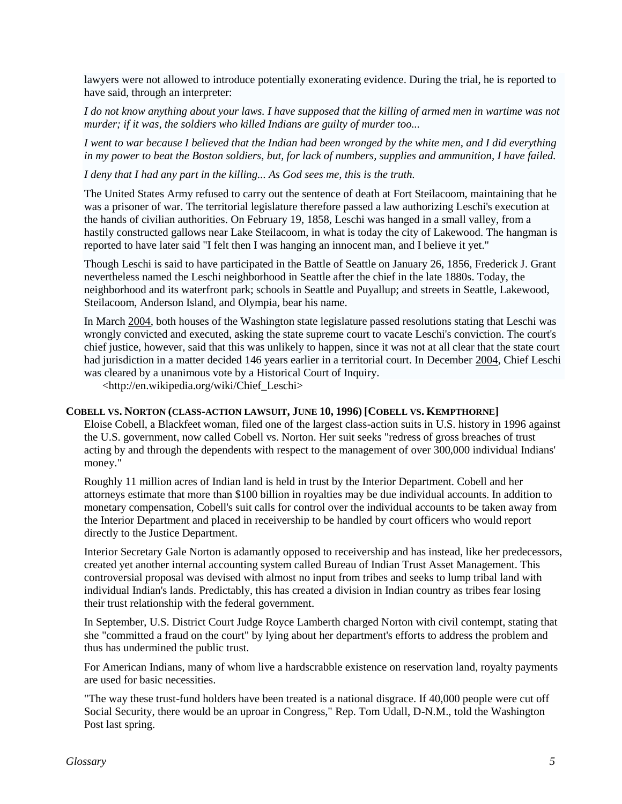lawyers were not allowed to introduce potentially exonerating evidence. During the trial, he is reported to have said, through an interpreter:

*I do not know anything about your laws. I have supposed that the killing of armed men in wartime was not murder; if it was, the soldiers who killed Indians are guilty of murder too...*

*I went to war because I believed that the Indian had been wronged by the white men, and I did everything in my power to beat the Boston soldiers, but, for lack of numbers, supplies and ammunition, I have failed.*

*I deny that I had any part in the killing... As God sees me, this is the truth.*

The United States Army refused to carry out the sentence of death at Fort Steilacoom, maintaining that he was a prisoner of war. The territorial legislature therefore passed a law authorizing Leschi's execution at the hands of civilian authorities. On February 19, 1858, Leschi was hanged in a small valley, from a hastily constructed gallows near Lake Steilacoom, in what is today the city of Lakewood. The hangman is reported to have later said "I felt then I was hanging an innocent man, and I believe it yet."

Though Leschi is said to have participated in the Battle of Seattle on January 26, 1856, Frederick J. Grant nevertheless named the Leschi neighborhood in Seattle after the chief in the late 1880s. Today, the neighborhood and its waterfront park; schools in Seattle and Puyallup; and streets in Seattle, Lakewood, Steilacoom, Anderson Island, and Olympia, bear his name.

In March [2004,](http://en.wikipedia.org/wiki/2004) both houses of the Washington state legislature passed resolutions stating that Leschi was wrongly convicted and executed, asking the state supreme court to vacate Leschi's conviction. The court's chief justice, however, said that this was unlikely to happen, since it was not at all clear that the state court had jurisdiction in a matter decided 146 years earlier in a territorial court. In December [2004,](http://en.wikipedia.org/wiki/2004) Chief Leschi was cleared by a unanimous vote by a Historical Court of Inquiry.

<http://en.wikipedia.org/wiki/Chief\_Leschi>

#### **COBELL VS. NORTON (CLASS-ACTION LAWSUIT, JUNE 10, 1996) [COBELL VS. KEMPTHORNE]**

Eloise Cobell, a Blackfeet woman, filed one of the largest class-action suits in U.S. history in 1996 against the U.S. government, now called Cobell vs. Norton. Her suit seeks "redress of gross breaches of trust acting by and through the dependents with respect to the management of over 300,000 individual Indians' money."

Roughly 11 million acres of Indian land is held in trust by the Interior Department. Cobell and her attorneys estimate that more than \$100 billion in royalties may be due individual accounts. In addition to monetary compensation, Cobell's suit calls for control over the individual accounts to be taken away from the Interior Department and placed in receivership to be handled by court officers who would report directly to the Justice Department.

Interior Secretary Gale Norton is adamantly opposed to receivership and has instead, like her predecessors, created yet another internal accounting system called Bureau of Indian Trust Asset Management. This controversial proposal was devised with almost no input from tribes and seeks to lump tribal land with individual Indian's lands. Predictably, this has created a division in Indian country as tribes fear losing their trust relationship with the federal government.

In September, U.S. District Court Judge Royce Lamberth charged Norton with civil contempt, stating that she "committed a fraud on the court" by lying about her department's efforts to address the problem and thus has undermined the public trust.

For American Indians, many of whom live a hardscrabble existence on reservation land, royalty payments are used for basic necessities.

"The way these trust-fund holders have been treated is a national disgrace. If 40,000 people were cut off Social Security, there would be an uproar in Congress," Rep. Tom Udall, D-N.M., told the Washington Post last spring.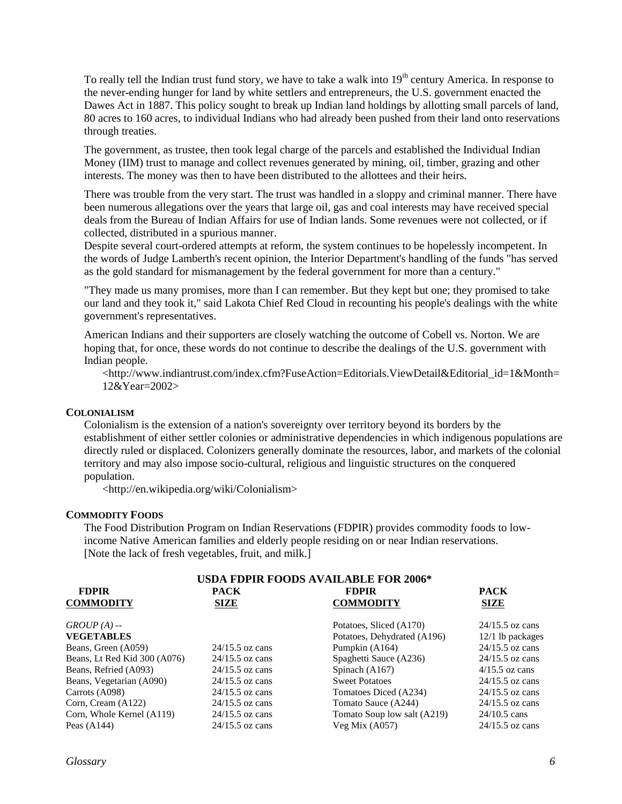To really tell the Indian trust fund story, we have to take a walk into 19<sup>th</sup> century America. In response to the never-ending hunger for land by white settlers and entrepreneurs, the U.S. government enacted the Dawes Act in 1887. This policy sought to break up Indian land holdings by allotting small parcels of land, 80 acres to 160 acres, to individual Indians who had already been pushed from their land onto reservations through treaties.

The government, as trustee, then took legal charge of the parcels and established the Individual Indian Money (IIM) trust to manage and collect revenues generated by mining, oil, timber, grazing and other interests. The money was then to have been distributed to the allottees and their heirs.

There was trouble from the very start. The trust was handled in a sloppy and criminal manner. There have been numerous allegations over the years that large oil, gas and coal interests may have received special deals from the Bureau of Indian Affairs for use of Indian lands. Some revenues were not collected, or if collected, distributed in a spurious manner.

Despite several court-ordered attempts at reform, the system continues to be hopelessly incompetent. In the words of Judge Lamberth's recent opinion, the Interior Department's handling of the funds "has served as the gold standard for mismanagement by the federal government for more than a century."

"They made us many promises, more than I can remember. But they kept but one; they promised to take our land and they took it," said Lakota Chief Red Cloud in recounting his people's dealings with the white government's representatives.

American Indians and their supporters are closely watching the outcome of Cobell vs. Norton. We are hoping that, for once, these words do not continue to describe the dealings of the U.S. government with Indian people.

<http://www.indiantrust.com/index.cfm?FuseAction=Editorials.ViewDetail&Editorial\_id=1&Month= 12&Year=2002>

## **COLONIALISM**

Colonialism is the extension of a nation's [sovereignty](http://en.wikipedia.org/wiki/Sovereignty) over territory beyond its borders by the establishment of either settler colonies or administrative dependencies in which indigenous populations are directly ruled or displaced. Colonizers generally dominate the resources, labor, and markets of the colonial territory and may also impose socio-cultural, religious and linguistic structures on the conquered population.

<http://en.wikipedia.org/wiki/Colonialism>

#### **COMMODITY FOODS**

The Food Distribution Program on Indian Reservations (FDPIR) provides commodity foods to lowincome Native American families and elderly people residing on or near Indian reservations. [Note the lack of fresh vegetables, fruit, and milk.]

| <b>USDA FDPIR FOODS AVAILABLE FOR 2006*</b> |                            |                                  |                     |  |
|---------------------------------------------|----------------------------|----------------------------------|---------------------|--|
| <b>FDPIR</b><br><b>COMMODITY</b>            | <b>PACK</b><br><b>SIZE</b> | <b>FDPIR</b><br><b>COMMODITY</b> | <b>PACK</b><br>SIZE |  |
|                                             |                            |                                  |                     |  |
| $GROUP(A) -$                                |                            | Potatoes, Sliced (A170)          | $24/15.5$ oz cans   |  |
| <b>VEGETABLES</b>                           |                            | Potatoes, Dehydrated (A196)      | 12/1 lb packages    |  |
| Beans, Green (A059)                         | $24/15.5$ oz cans          | Pumpkin (A164)                   | $24/15.5$ oz cans   |  |
| Beans, Lt Red Kid 300 (A076)                | $24/15.5$ oz cans          | Spaghetti Sauce (A236)           | $24/15.5$ oz cans   |  |
| Beans, Refried (A093)                       | $24/15.5$ oz cans          | Spinach (A167)                   | $4/15.5$ oz cans    |  |
| Beans, Vegetarian (A090)                    | $24/15.5$ oz cans          | <b>Sweet Potatoes</b>            | $24/15.5$ oz cans   |  |
| Carrots (A098)                              | $24/15.5$ oz cans          | Tomatoes Diced (A234)            | $24/15.5$ oz cans   |  |
| Corn, Cream (A122)                          | $24/15.5$ oz cans          | Tomato Sauce (A244)              | $24/15.5$ oz cans   |  |
| Corn, Whole Kernel (A119)                   | $24/15.5$ oz cans          | Tomato Soup low salt (A219)      | $24/10.5$ cans      |  |
| Peas $(A144)$                               | $24/15.5$ oz cans          | Veg Mix $(A057)$                 | $24/15.5$ oz cans   |  |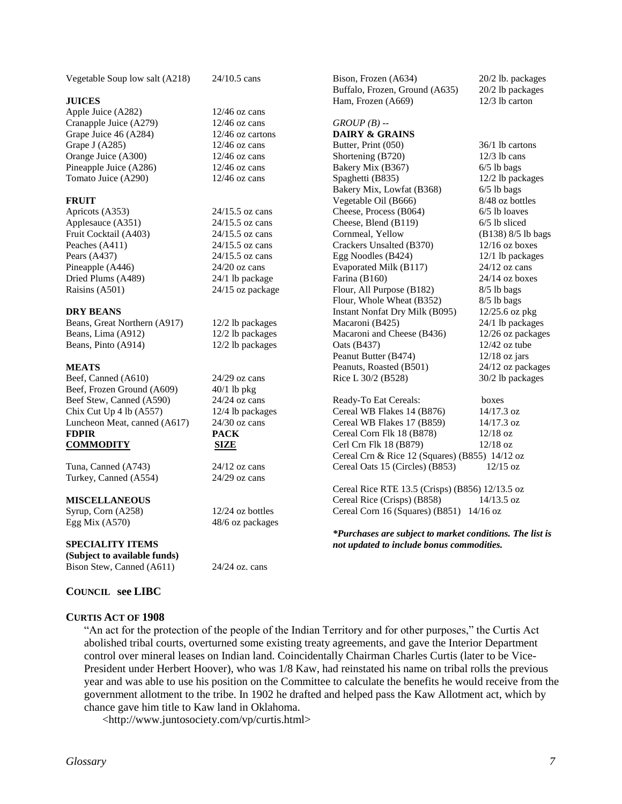| <b>JUICES</b>                |                    | Builaio, Frozen, Ground (<br>Ham, Frozen (A669) |
|------------------------------|--------------------|-------------------------------------------------|
| Apple Juice (A282)           | $12/46$ oz cans    |                                                 |
| Cranapple Juice (A279)       | $12/46$ oz cans    | $GROUP(B)$ --                                   |
| Grape Juice 46 (A284)        | 12/46 oz cartons   | <b>DAIRY &amp; GRAINS</b>                       |
| Grape J (A285)               | $12/46$ oz cans    | Butter, Print (050)                             |
| Orange Juice (A300)          | $12/46$ oz cans    | Shortening (B720)                               |
| Pineapple Juice (A286)       | $12/46$ oz cans    | Bakery Mix (B367)                               |
| Tomato Juice (A290)          | $12/46$ oz cans    | Spaghetti (B835)                                |
|                              |                    | Bakery Mix, Lowfat (B368                        |
| <b>FRUIT</b>                 |                    | Vegetable Oil (B666)                            |
| Apricots (A353)              | $24/15.5$ oz cans  | Cheese, Process (B064)                          |
| Applesauce (A351)            | 24/15.5 oz cans    | Cheese, Blend (B119)                            |
| Fruit Cocktail (A403)        | $24/15.5$ oz cans  | Cornmeal, Yellow                                |
| Peaches (A411)               | 24/15.5 oz cans    | Crackers Unsalted (B370)                        |
| Pears (A437)                 | 24/15.5 oz cans    | Egg Noodles (B424)                              |
| Pineapple (A446)             | $24/20$ oz cans    | Evaporated Milk (B117)                          |
| Dried Plums (A489)           | 24/1 lb package    | Farina (B160)                                   |
| Raisins (A501)               | 24/15 oz package   | Flour, All Purpose (B182)                       |
|                              |                    | Flour, Whole Wheat (B352                        |
| <b>DRY BEANS</b>             |                    | Instant Nonfat Dry Milk (I                      |
| Beans, Great Northern (A917) | 12/2 lb packages   | Macaroni (B425)                                 |
| Beans, Lima (A912)           | 12/2 lb packages   | Macaroni and Cheese (B43                        |
| Beans, Pinto (A914)          | 12/2 lb packages   | Oats (B437)                                     |
|                              |                    | Peanut Butter (B474)                            |
| <b>MEATS</b>                 |                    | Peanuts, Roasted (B501)                         |
| Beef, Canned (A610)          | $24/29$ oz cans    | Rice L 30/2 (B528)                              |
| Beef, Frozen Ground (A609)   | $40/1$ lb pkg      |                                                 |
| Beef Stew, Canned (A590)     | $24/24$ oz cans    | Ready-To Eat Cereals:                           |
| Chix Cut Up 4 lb (A557)      | 12/4 lb packages   | Cereal WB Flakes 14 (B87                        |
| Luncheon Meat, canned (A617) | $24/30$ oz cans    | Cereal WB Flakes 17 (B85                        |
| <b>FDPIR</b>                 | <b>PACK</b>        | Cereal Corn Flk 18 (B878)                       |
| <b>COMMODITY</b>             | <b>SIZE</b>        | Cerl Crn Flk 18 (B879)                          |
|                              |                    | Cereal Crn & Rice 12 (Squ                       |
| Tuna, Canned (A743)          | $24/12$ oz cans    | Cereal Oats 15 (Circles) (E                     |
| Turkey, Canned (A554)        | $24/29$ oz cans    |                                                 |
|                              |                    | Cereal Rice RTE 13.5 (Cri                       |
| <b>MISCELLANEOUS</b>         |                    | Cereal Rice (Crisps) (B858                      |
| Syrup, Corn (A258)           | $12/24$ oz bottles | Cereal Corn 16 (Squares) (                      |
| Egg Mix $(A570)$             | 48/6 oz packages   |                                                 |
|                              |                    | <i>*Purchases are subject to</i>                |

**SPECIALITY ITEMS (Subject to available funds)** Bison Stew, Canned (A611) 24/24 oz. cans

Vegetable Soup low salt (A218) 24/10.5 cans

# **COUNCIL see LIBC**

**CURTIS ACT OF 1908**

"An act for the protection of the people of the Indian Territory and for other purposes," the Curtis Act abolished tribal courts, overturned some existing treaty agreements, and gave the Interior Department control over mineral leases on Indian land. Coincidentally Chairman Charles Curtis (later to be Vice-President under Herbert Hoover), who was 1/8 Kaw, had reinstated his name on tribal rolls the previous year and was able to use his position on the Committee to calculate the benefits he would receive from the government allotment to the tribe. In 1902 he drafted and helped pass the Kaw Allotment act, which by chance gave him title to Kaw land in Oklahoma.

<http://www.juntosociety.com/vp/curtis.html>

Bison, Frozen (A634) 20/2 lb. packages<br>Buffalo, Frozen, Ground (A635) 20/2 lb packages

 $36/1$  lb cartons

 $20/2$  lb packages  $12/3$  lb carton

 $12/3$  lb cans  $6/5$  lb bags 12/2 lb packages  $8)$  6/5 lb bags 8/48 oz bottles  $6/5$  lb loaves  $6/5$  lb sliced (B138) 8/5 lb bags  $12/16$  oz boxes 12/1 lb packages  $24/12$  oz cans  $24/14$  oz boxes  $8/5$  lb bags  $8/5$  lb bags B095) 12/25.6 oz pkg  $24/1$  lb packages  $M_0$  12/26 oz packages  $12/42$  oz tube  $12/18$  oz jars 24/12 oz packages 30/2 lb packages

boxes  $(6)$  14/17.3 oz  $(9)$  14/17.3 oz  $12/18$  oz  $12/18$  oz  $uares)$  (B855) 14/12 oz  $(3853)$  12/15 oz

 $\text{Lsps}$  (B856) 12/13.5 oz  $\overline{8}$ ) 14/13.5 oz (B851) 14/16 oz

*market conditions. The list is not updated to include bonus commodities.*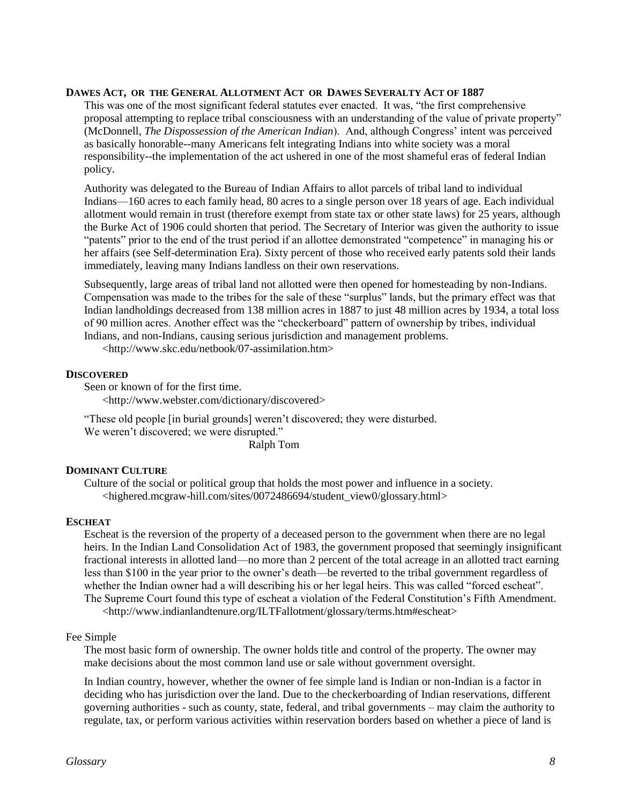#### **DAWES ACT, OR THE GENERAL ALLOTMENT ACT OR DAWES SEVERALTY ACT OF 1887**

This was one of the most significant federal statutes ever enacted. It was, "the first comprehensive proposal attempting to replace tribal consciousness with an understanding of the value of private property" (McDonnell, *The Dispossession of the American Indian*). And, although Congress' intent was perceived as basically honorable--many Americans felt integrating Indians into white society was a moral responsibility--the implementation of the act ushered in one of the most shameful eras of federal Indian policy.

Authority was delegated to the Bureau of Indian Affairs to allot parcels of tribal land to individual Indians—160 acres to each family head, 80 acres to a single person over 18 years of age. Each individual allotment would remain in trust (therefore exempt from state tax or other state laws) for 25 years, although the Burke Act of 1906 could shorten that period. The Secretary of Interior was given the authority to issue "patents" prior to the end of the trust period if an allottee demonstrated "competence" in managing his or her affairs (see Self-determination Era). Sixty percent of those who received early patents sold their lands immediately, leaving many Indians landless on their own reservations.

Subsequently, large areas of tribal land not allotted were then opened for homesteading by non-Indians. Compensation was made to the tribes for the sale of these "surplus" lands, but the primary effect was that Indian landholdings decreased from 138 million acres in 1887 to just 48 million acres by 1934, a total loss of 90 million acres. Another effect was the "checkerboard" pattern of ownership by tribes, individual Indians, and non-Indians, causing serious jurisdiction and management problems.

<http://www.skc.edu/netbook/07-assimilation.htm>

## **DISCOVERED**

Seen or known of for the first time.

<http://www.webster.com/dictionary/discovered>

"These old people [in burial grounds] weren't discovered; they were disturbed. We weren't discovered; we were disrupted."

Ralph Tom

## **DOMINANT CULTURE**

Culture of the social or political group that holds the most power and influence in a society. [<highered.mcgraw-hill.com/sites/0072486694/student\\_view0/glossary.html>](http://www.google.com/url?sa=X&start=0&oi=define&q=http://highered.mcgraw-hill.com/sites/0072486694/student_view0/glossary.html)

#### **ESCHEAT**

Escheat is the reversion of the property of a deceased person to the government when there are no legal heirs. In the Indian Land Consolidation Act of 1983, the government proposed that seemingly insignificant fractional interests in allotted land—no more than 2 percent of the total acreage in an allotted tract earning less than \$100 in the year prior to the owner's death—be reverted to the tribal government regardless of whether the Indian owner had a will describing his or her legal heirs. This was called "forced escheat". The Supreme Court found this type of escheat a violation of the Federal Constitution's Fifth Amendment. <http://www.indianlandtenure.org/ILTFallotment/glossary/terms.htm#escheat>

#### Fee Simple

The most basic form of ownership. The owner holds title and control of the property. The owner may make decisions about the most common land use or sale without government oversight.

In Indian country, however, whether the owner of fee simple land is Indian or non-Indian is a factor in deciding who has jurisdiction over the land. Due to the checkerboarding of Indian reservations, different governing authorities - such as county, state, federal, and tribal governments – may claim the authority to regulate, tax, or perform various activities within reservation borders based on whether a piece of land is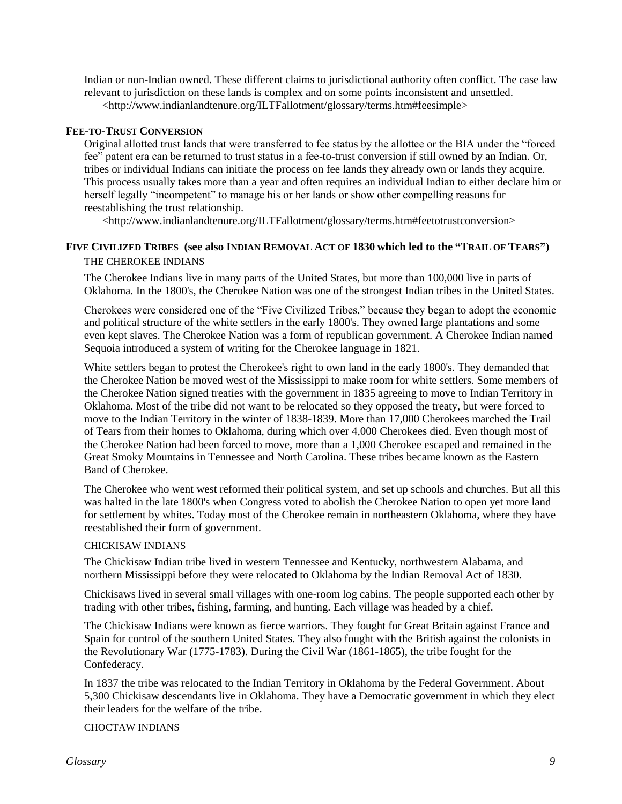Indian or non-Indian owned. These different claims to jurisdictional authority often conflict. The case law relevant to jurisdiction on these lands is complex and on some points inconsistent and unsettled. <http://www.indianlandtenure.org/ILTFallotment/glossary/terms.htm#feesimple>

## **FEE-TO-TRUST CONVERSION**

Original allotted trust lands that were transferred to fee status by the allottee or the BIA under the "forced fee" patent era can be returned to trust status in a fee-to-trust conversion if still owned by an Indian. Or, tribes or individual Indians can initiate the process on fee lands they already own or lands they acquire. This process usually takes more than a year and often requires an individual Indian to either declare him or herself legally "incompetent" to manage his or her lands or show other compelling reasons for reestablishing the trust relationship.

<http://www.indianlandtenure.org/ILTFallotment/glossary/terms.htm#feetotrustconversion>

## FIVE CIVILIZED TRIBES (see also INDIAN REMOVAL ACT OF 1830 which led to the "TRAIL OF TEARS") THE CHEROKEE INDIANS

The Cherokee Indians live in many parts of the United States, but more than 100,000 live in parts of Oklahoma. In the 1800's, the Cherokee Nation was one of the strongest Indian tribes in the United States.

Cherokees were considered one of the "Five Civilized Tribes," because they began to adopt the economic and political structure of the white settlers in the early 1800's. They owned large plantations and some even kept slaves. The Cherokee Nation was a form of republican government. A Cherokee Indian named Sequoia introduced a system of writing for the Cherokee language in 1821.

White settlers began to protest the Cherokee's right to own land in the early 1800's. They demanded that the Cherokee Nation be moved west of the Mississippi to make room for white settlers. Some members of the Cherokee Nation signed treaties with the government in 1835 agreeing to move to Indian Territory in Oklahoma. Most of the tribe did not want to be relocated so they opposed the treaty, but were forced to move to the Indian Territory in the winter of 1838-1839. More than 17,000 Cherokees marched the Trail of Tears from their homes to Oklahoma, during which over 4,000 Cherokees died. Even though most of the Cherokee Nation had been forced to move, more than a 1,000 Cherokee escaped and remained in the Great Smoky Mountains in Tennessee and North Carolina. These tribes became known as the Eastern Band of Cherokee.

The Cherokee who went west reformed their political system, and set up schools and churches. But all this was halted in the late 1800's when Congress voted to abolish the Cherokee Nation to open yet more land for settlement by whites. Today most of the Cherokee remain in northeastern Oklahoma, where they have reestablished their form of government.

#### CHICKISAW INDIANS

The Chickisaw Indian tribe lived in western Tennessee and Kentucky, northwestern Alabama, and northern Mississippi before they were relocated to Oklahoma by the Indian Removal Act of 1830.

Chickisaws lived in several small villages with one-room log cabins. The people supported each other by trading with other tribes, fishing, farming, and hunting. Each village was headed by a chief.

The Chickisaw Indians were known as fierce warriors. They fought for Great Britain against France and Spain for control of the southern United States. They also fought with the British against the colonists in the Revolutionary War (1775-1783). During the Civil War (1861-1865), the tribe fought for the Confederacy.

In 1837 the tribe was relocated to the Indian Territory in Oklahoma by the Federal Government. About 5,300 Chickisaw descendants live in Oklahoma. They have a Democratic government in which they elect their leaders for the welfare of the tribe.

#### CHOCTAW INDIANS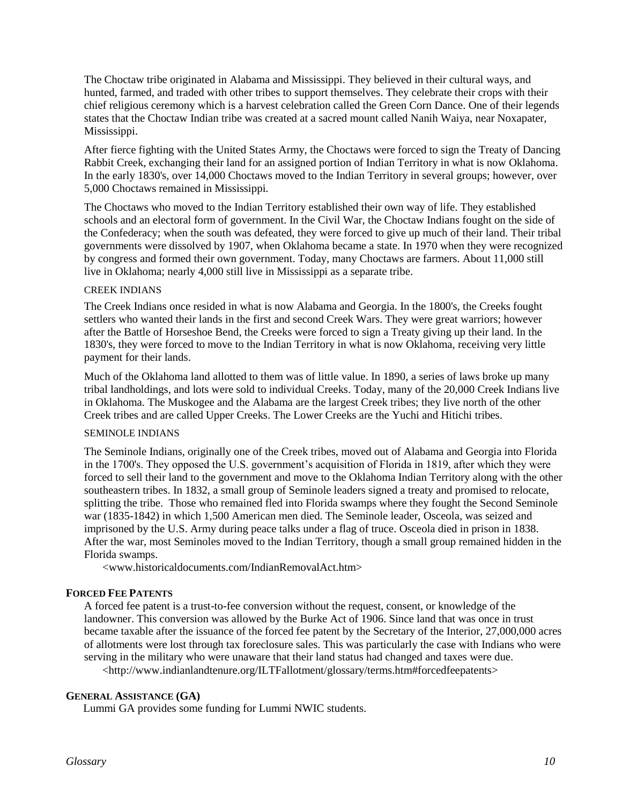The Choctaw tribe originated in Alabama and Mississippi. They believed in their cultural ways, and hunted, farmed, and traded with other tribes to support themselves. They celebrate their crops with their chief religious ceremony which is a harvest celebration called the Green Corn Dance. One of their legends states that the Choctaw Indian tribe was created at a sacred mount called Nanih Waiya, near Noxapater, Mississippi.

After fierce fighting with the United States Army, the Choctaws were forced to sign the Treaty of Dancing Rabbit Creek, exchanging their land for an assigned portion of Indian Territory in what is now Oklahoma. In the early 1830's, over 14,000 Choctaws moved to the Indian Territory in several groups; however, over 5,000 Choctaws remained in Mississippi.

The Choctaws who moved to the Indian Territory established their own way of life. They established schools and an electoral form of government. In the Civil War, the Choctaw Indians fought on the side of the Confederacy; when the south was defeated, they were forced to give up much of their land. Their tribal governments were dissolved by 1907, when Oklahoma became a state. In 1970 when they were recognized by congress and formed their own government. Today, many Choctaws are farmers. About 11,000 still live in Oklahoma; nearly 4,000 still live in Mississippi as a separate tribe.

## CREEK INDIANS

The Creek Indians once resided in what is now Alabama and Georgia. In the 1800's, the Creeks fought settlers who wanted their lands in the first and second Creek Wars. They were great warriors; however after the Battle of Horseshoe Bend, the Creeks were forced to sign a Treaty giving up their land. In the 1830's, they were forced to move to the Indian Territory in what is now Oklahoma, receiving very little payment for their lands.

Much of the Oklahoma land allotted to them was of little value. In 1890, a series of laws broke up many tribal landholdings, and lots were sold to individual Creeks. Today, many of the 20,000 Creek Indians live in Oklahoma. The Muskogee and the Alabama are the largest Creek tribes; they live north of the other Creek tribes and are called Upper Creeks. The Lower Creeks are the Yuchi and Hitichi tribes.

#### SEMINOLE INDIANS

The Seminole Indians, originally one of the Creek tribes, moved out of Alabama and Georgia into Florida in the 1700's. They opposed the U.S. government's acquisition of Florida in 1819, after which they were forced to sell their land to the government and move to the Oklahoma Indian Territory along with the other southeastern tribes. In 1832, a small group of Seminole leaders signed a treaty and promised to relocate, splitting the tribe. Those who remained fled into Florida swamps where they fought the Second Seminole war (1835-1842) in which 1,500 American men died. The Seminole leader, Osceola, was seized and imprisoned by the U.S. Army during peace talks under a flag of truce. Osceola died in prison in 1838. After the war, most Seminoles moved to the Indian Territory, though a small group remained hidden in the Florida swamps.

<www.historicaldocuments.com/IndianRemovalAct.htm>

## **FORCED FEE PATENTS**

A forced fee patent is a trust-to-fee conversion without the request, consent, or knowledge of the landowner. This conversion was allowed by the Burke Act of 1906. Since land that was once in trust became taxable after the issuance of the forced fee patent by the Secretary of the Interior, 27,000,000 acres of allotments were lost through tax foreclosure sales. This was particularly the case with Indians who were serving in the military who were unaware that their land status had changed and taxes were due. <http://www.indianlandtenure.org/ILTFallotment/glossary/terms.htm#forcedfeepatents>

## **GENERAL ASSISTANCE (GA)**

Lummi GA provides some funding for Lummi NWIC students.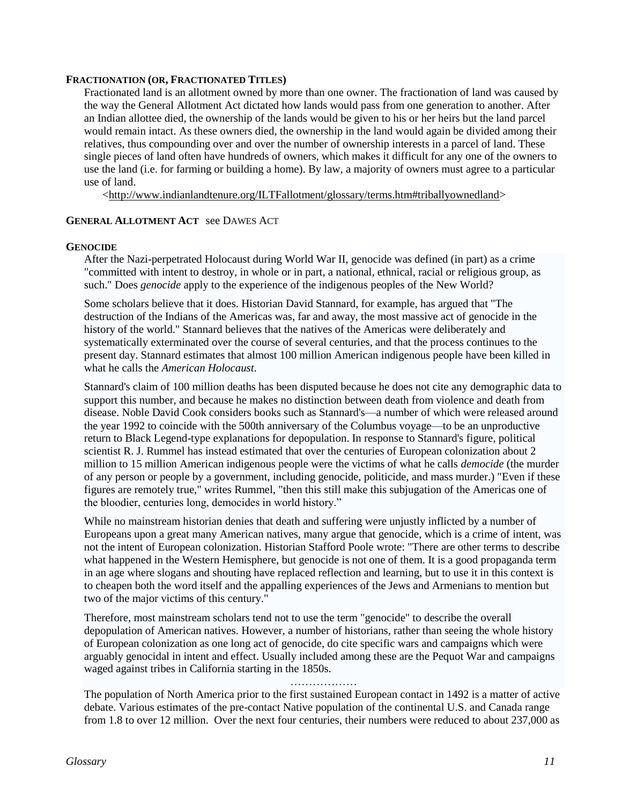## **FRACTIONATION (OR, FRACTIONATED TITLES)**

Fractionated land is an allotment owned by more than one owner. The fractionation of land was caused by the way the General Allotment Act dictated how lands would pass from one generation to another. After an Indian allottee died, the ownership of the lands would be given to his or her heirs but the land parcel would remain intact. As these owners died, the ownership in the land would again be divided among their relatives, thus compounding over and over the number of ownership interests in a parcel of land. These single pieces of land often have hundreds of owners, which makes it difficult for any one of the owners to use the land (i.e. for farming or building a home). By law, a majority of owners must agree to a particular use of land.

[<http://www.indianlandtenure.org/ILTFallotment/glossary/terms.htm#triballyownedland>](http://www.indianlandtenure.org/ILTFallotment/glossary/terms.htm#triballyownedland)

## **GENERAL ALLOTMENT ACT** see DAWES ACT

#### **GENOCIDE**

After the Nazi-perpetrated Holocaust during World War II, genocide was defined (in part) as a crime "committed with intent to destroy, in whole or in part, a national, ethnical, racial or religious group, as such." Does *genocide* apply to the experience of the indigenous peoples of the New World?

Some scholars believe that it does. Historian David Stannard, for example, has argued that "The destruction of the Indians of the Americas was, far and away, the most massive act of genocide in the history of the world." Stannard believes that the natives of the Americas were deliberately and systematically exterminated over the course of several centuries, and that the process continues to the present day. Stannard estimates that almost 100 million American indigenous people have been killed in what he calls the *American Holocaust*.

Stannard's claim of 100 million deaths has been disputed because he does not cite any demographic data to support this number, and because he makes no distinction between death from violence and death from disease. Noble David Cook considers books such as Stannard's—a number of which were released around the year 1992 to coincide with the 500th anniversary of the Columbus voyage—to be an unproductive return to Black Legend-type explanations for depopulation. In response to Stannard's figure, political scientist R. J. Rummel has instead estimated that over the centuries of European colonization about 2 million to 15 million American indigenous people were the victims of what he calls *democide* (the murder of any person or people by a government, including genocide, politicide, and mass murder.) "Even if these figures are remotely true," writes Rummel, "then this still make this subjugation of the Americas one of the bloodier, centuries long, democides in world history."

While no mainstream historian denies that death and suffering were unjustly inflicted by a number of Europeans upon a great many American natives, many argue that genocide, which is a crime of intent, was not the intent of European colonization. Historian Stafford Poole wrote: "There are other terms to describe what happened in the Western Hemisphere, but genocide is not one of them. It is a good propaganda term in an age where slogans and shouting have replaced reflection and learning, but to use it in this context is to cheapen both the word itself and the appalling experiences of the Jews and Armenians to mention but two of the major victims of this century."

Therefore, most mainstream scholars tend not to use the term "genocide" to describe the overall depopulation of American natives. However, a number of historians, rather than seeing the whole history of European colonization as one long act of genocide, do cite specific wars and campaigns which were arguably genocidal in intent and effect. Usually included among these are the Pequot War and campaigns waged against tribes in California starting in the 1850s.

#### …………

The population of North America prior to the first sustained European contact in 1492 is a matter of active debate. Various estimates of the pre-contact Native population of the continental U.S. and Canada range from 1.8 to over 12 million. Over the next four centuries, their numbers were reduced to about 237,000 as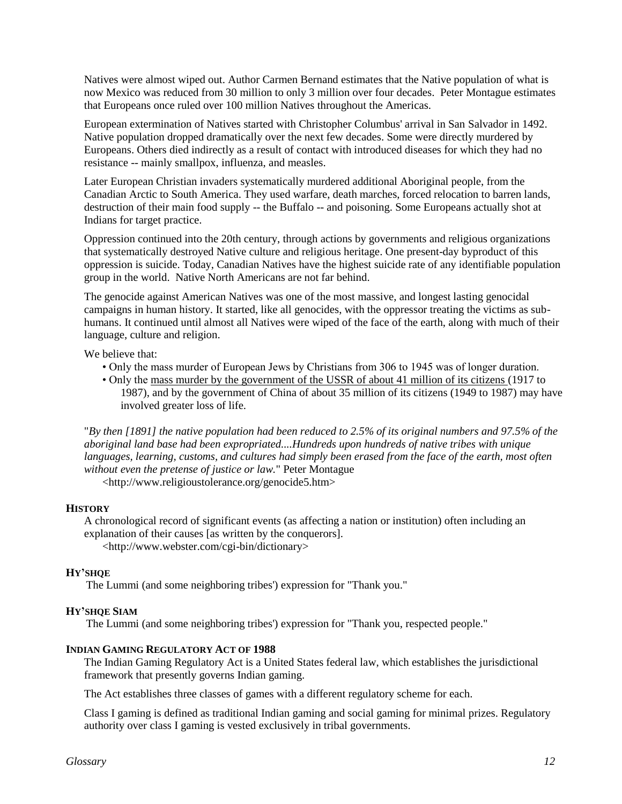Natives were almost wiped out. Author Carmen Bernand estimates that the Native population of what is now Mexico was reduced from 30 million to only 3 million over four decades. Peter Montague estimates that Europeans once ruled over 100 million Natives throughout the Americas.

European extermination of Natives started with Christopher Columbus' arrival in San Salvador in 1492. Native population dropped dramatically over the next few decades. Some were directly murdered by Europeans. Others died indirectly as a result of contact with introduced diseases for which they had no resistance -- mainly smallpox, influenza, and measles.

Later European Christian invaders systematically murdered additional Aboriginal people, from the Canadian Arctic to South America. They used warfare, death marches, forced relocation to barren lands, destruction of their main food supply -- the Buffalo -- and poisoning. Some Europeans actually shot at Indians for target practice.

Oppression continued into the 20th century, through actions by governments and religious organizations that systematically destroyed Native culture and religious heritage. One present-day byproduct of this oppression is suicide. Today, Canadian Natives have the highest suicide rate of any identifiable population group in the world. Native North Americans are not far behind.

The genocide against American Natives was one of the most massive, and longest lasting genocidal campaigns in human history. It started, like all genocides, with the oppressor treating the victims as subhumans. It continued until almost all Natives were wiped of the face of the earth, along with much of their language, culture and religion.

We believe that:

• Only the mass murder of European Jews by Christians from 306 to 1945 was of longer duration.

• Only the [mass murder by the government of the USSR of about 41 million of its citizens \(](http://www.religioustolerance.org/genocide2.htm)1917 to 1987), and by the government of China of about 35 million of its citizens (1949 to 1987) may have involved greater loss of life.

"*By then [1891] the native population had been reduced to 2.5% of its original numbers and 97.5% of the aboriginal land base had been expropriated....Hundreds upon hundreds of native tribes with unique languages, learning, customs, and cultures had simply been erased from the face of the earth, most often without even the pretense of justice or law.*" Peter Montague

<http://www.religioustolerance.org/genocide5.htm>

## **HISTORY**

A chronological record of significant events (as affecting a nation or institution) often including an explanation of their causes [as written by the conquerors].

<http://www.webster.com/cgi-bin/dictionary>

## **HY'SHQE**

The Lummi (and some neighboring tribes') expression for "Thank you."

## **HY'SHQE SIAM**

The Lummi (and some neighboring tribes') expression for "Thank you, respected people."

## **INDIAN GAMING REGULATORY ACT OF 1988**

The Indian Gaming Regulatory Act is a United States federal law, which establishes the jurisdictional framework that presently governs Indian gaming.

The Act establishes three classes of games with a different regulatory scheme for each.

Class I gaming is defined as traditional Indian gaming and social gaming for minimal prizes. Regulatory authority over class I gaming is vested exclusively in tribal governments.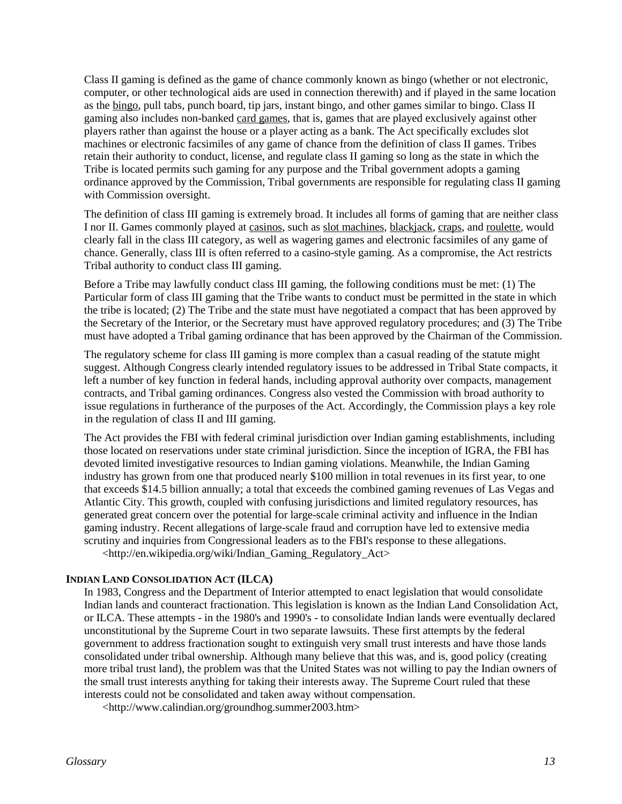Class II gaming is defined as the game of chance commonly known as bingo (whether or not electronic, computer, or other technological aids are used in connection therewith) and if played in the same location as the [bingo,](http://www.answers.com/topic/bingo-disambiguation) pull tabs, punch board, tip jars, instant bingo, and other games similar to bingo. Class II gaming also includes non-banked [card games,](http://www.answers.com/topic/card-game-1) that is, games that are played exclusively against other players rather than against the house or a player acting as a bank. The Act specifically excludes slot machines or electronic facsimiles of any game of chance from the definition of class II games. Tribes retain their authority to conduct, license, and regulate class II gaming so long as the state in which the Tribe is located permits such gaming for any purpose and the Tribal government adopts a gaming ordinance approved by the Commission, Tribal governments are responsible for regulating class II gaming with Commission oversight.

The definition of class III gaming is extremely broad. It includes all forms of gaming that are neither class I nor II. Games commonly played at [casinos,](http://www.answers.com/topic/casino) such as [slot machines,](http://www.answers.com/topic/slot-machine) [blackjack,](http://www.answers.com/topic/blackjack) [craps,](http://www.answers.com/topic/craps) an[d roulette,](http://www.answers.com/topic/roulette) would clearly fall in the class III category, as well as wagering games and electronic facsimiles of any game of chance. Generally, class III is often referred to a casino-style gaming. As a compromise, the Act restricts Tribal authority to conduct class III gaming.

Before a Tribe may lawfully conduct class III gaming, the following conditions must be met: (1) The Particular form of class III gaming that the Tribe wants to conduct must be permitted in the state in which the tribe is located; (2) The Tribe and the state must have negotiated a compact that has been approved by the Secretary of the Interior, or the Secretary must have approved regulatory procedures; and (3) The Tribe must have adopted a Tribal gaming ordinance that has been approved by the Chairman of the Commission.

The regulatory scheme for class III gaming is more complex than a casual reading of the statute might suggest. Although Congress clearly intended regulatory issues to be addressed in Tribal State compacts, it left a number of key function in federal hands, including approval authority over compacts, management contracts, and Tribal gaming ordinances. Congress also vested the Commission with broad authority to issue regulations in furtherance of the purposes of the Act. Accordingly, the Commission plays a key role in the regulation of class II and III gaming.

The Act provides the FBI with federal criminal jurisdiction over Indian gaming establishments, including those located on reservations under state criminal jurisdiction. Since the inception of IGRA, the FBI has devoted limited investigative resources to Indian gaming violations. Meanwhile, the Indian Gaming industry has grown from one that produced nearly \$100 million in total revenues in its first year, to one that exceeds \$14.5 billion annually; a total that exceeds the combined gaming revenues of Las Vegas and Atlantic City. This growth, coupled with confusing jurisdictions and limited regulatory resources, has generated great concern over the potential for large-scale criminal activity and influence in the Indian gaming industry. Recent allegations of large-scale fraud and corruption have led to extensive media scrutiny and inquiries from Congressional leaders as to the FBI's response to these allegations. <http://en.wikipedia.org/wiki/Indian\_Gaming\_Regulatory\_Act>

## **INDIAN LAND CONSOLIDATION ACT (ILCA)**

In 1983, Congress and the Department of Interior attempted to enact legislation that would consolidate Indian lands and counteract fractionation. This legislation is known as the Indian Land Consolidation Act, or ILCA. These attempts - in the 1980's and 1990's - to consolidate Indian lands were eventually declared unconstitutional by the Supreme Court in two separate lawsuits. These first attempts by the federal government to address fractionation sought to extinguish very small trust interests and have those lands consolidated under tribal ownership. Although many believe that this was, and is, good policy (creating more tribal trust land), the problem was that the United States was not willing to pay the Indian owners of the small trust interests anything for taking their interests away. The Supreme Court ruled that these interests could not be consolidated and taken away without compensation.

<http://www.calindian.org/groundhog.summer2003.htm>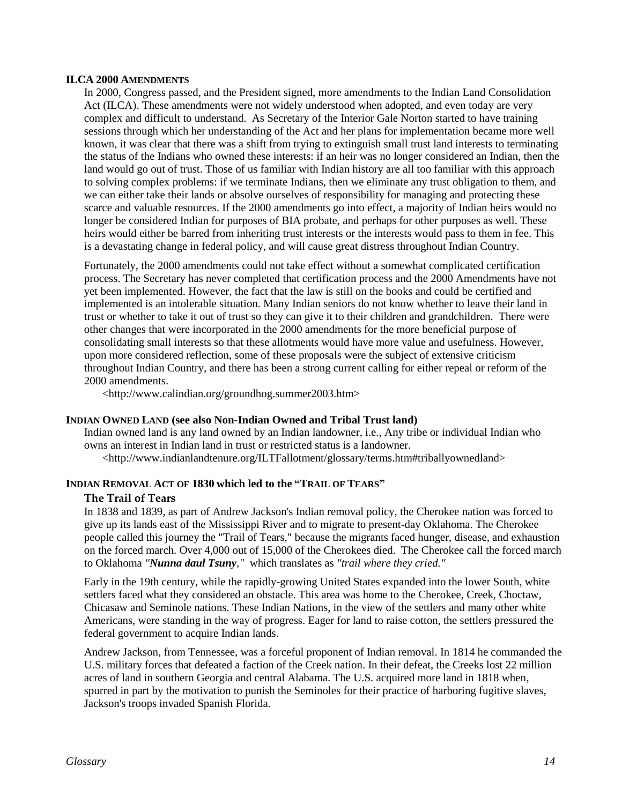#### **ILCA 2000 AMENDMENTS**

In 2000, Congress passed, and the President signed, more amendments to the Indian Land Consolidation Act (ILCA). These amendments were not widely understood when adopted, and even today are very complex and difficult to understand. As Secretary of the Interior Gale Norton started to have training sessions through which her understanding of the Act and her plans for implementation became more well known, it was clear that there was a shift from trying to extinguish small trust land interests to terminating the status of the Indians who owned these interests: if an heir was no longer considered an Indian, then the land would go out of trust. Those of us familiar with Indian history are all too familiar with this approach to solving complex problems: if we terminate Indians, then we eliminate any trust obligation to them, and we can either take their lands or absolve ourselves of responsibility for managing and protecting these scarce and valuable resources. If the 2000 amendments go into effect, a majority of Indian heirs would no longer be considered Indian for purposes of BIA probate, and perhaps for other purposes as well. These heirs would either be barred from inheriting trust interests or the interests would pass to them in fee. This is a devastating change in federal policy, and will cause great distress throughout Indian Country.

Fortunately, the 2000 amendments could not take effect without a somewhat complicated certification process. The Secretary has never completed that certification process and the 2000 Amendments have not yet been implemented. However, the fact that the law is still on the books and could be certified and implemented is an intolerable situation. Many Indian seniors do not know whether to leave their land in trust or whether to take it out of trust so they can give it to their children and grandchildren. There were other changes that were incorporated in the 2000 amendments for the more beneficial purpose of consolidating small interests so that these allotments would have more value and usefulness. However, upon more considered reflection, some of these proposals were the subject of extensive criticism throughout Indian Country, and there has been a strong current calling for either repeal or reform of the 2000 amendments.

<http://www.calindian.org/groundhog.summer2003.htm>

## **INDIAN OWNED LAND (see also Non-Indian Owned and Tribal Trust land)**

Indian owned land is any land owned by an Indian landowner, i.e., Any tribe or individual Indian who owns an interest in Indian land in trust or restricted status is a landowner. <http://www.indianlandtenure.org/ILTFallotment/glossary/terms.htm#triballyownedland>

## **INDIAN REMOVAL ACT OF 1830 which led to the "TRAIL OF TEARS"**

#### **The Trail of Tears**

In 1838 and 1839, as part of Andrew Jackson's Indian removal policy, the Cherokee nation was forced to give up its lands east of the Mississippi River and to migrate to present-day Oklahoma. The Cherokee people called this journey the "Trail of Tears," because the migrants faced hunger, disease, and exhaustion on the forced march. Over 4,000 out of 15,000 of the Cherokees died. The Cherokee call the forced march to Oklahoma *"Nunna daul Tsuny,"* which translates as *"trail where they cried."*

Early in the 19th century, while the rapidly-growing United States expanded into the lower South, white settlers faced what they considered an obstacle. This area was home to the Cherokee, Creek, Choctaw, Chicasaw and Seminole nations. These Indian Nations, in the view of the settlers and many other white Americans, were standing in the way of progress. Eager for land to raise cotton, the settlers pressured the federal government to acquire Indian lands.

Andrew Jackson, from Tennessee, was a forceful proponent of Indian removal. In 1814 he commanded the U.S. military forces that defeated a faction of the Creek nation. In their defeat, the Creeks lost 22 million acres of land in southern Georgia and central Alabama. The U.S. acquired more land in 1818 when, spurred in part by the motivation to punish the Seminoles for their practice of harboring fugitive slaves, Jackson's troops invaded Spanish Florida.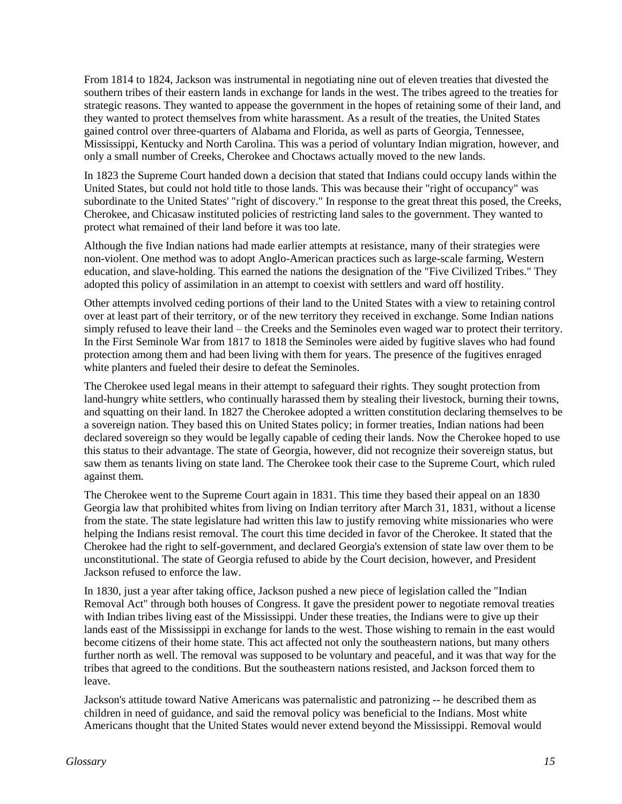From 1814 to 1824, Jackson was instrumental in negotiating nine out of eleven treaties that divested the southern tribes of their eastern lands in exchange for lands in the west. The tribes agreed to the treaties for strategic reasons. They wanted to appease the government in the hopes of retaining some of their land, and they wanted to protect themselves from white harassment. As a result of the treaties, the United States gained control over three-quarters of Alabama and Florida, as well as parts of Georgia, Tennessee, Mississippi, Kentucky and North Carolina. This was a period of voluntary Indian migration, however, and only a small number of Creeks, Cherokee and Choctaws actually moved to the new lands.

In 1823 the Supreme Court handed down a decision that stated that Indians could occupy lands within the United States, but could not hold title to those lands. This was because their "right of occupancy" was subordinate to the United States' "right of discovery." In response to the great threat this posed, the Creeks, Cherokee, and Chicasaw instituted policies of restricting land sales to the government. They wanted to protect what remained of their land before it was too late.

Although the five Indian nations had made earlier attempts at resistance, many of their strategies were non-violent. One method was to adopt Anglo-American practices such as large-scale farming, Western education, and slave-holding. This earned the nations the designation of the "Five Civilized Tribes." They adopted this policy of assimilation in an attempt to coexist with settlers and ward off hostility.

Other attempts involved ceding portions of their land to the United States with a view to retaining control over at least part of their territory, or of the new territory they received in exchange. Some Indian nations simply refused to leave their land – the Creeks and the Seminoles even waged war to protect their territory. In the First Seminole War from 1817 to 1818 the Seminoles were aided by fugitive slaves who had found protection among them and had been living with them for years. The presence of the fugitives enraged white planters and fueled their desire to defeat the Seminoles.

The Cherokee used legal means in their attempt to safeguard their rights. They sought protection from land-hungry white settlers, who continually harassed them by stealing their livestock, burning their towns, and squatting on their land. In 1827 the Cherokee adopted a written constitution declaring themselves to be a sovereign nation. They based this on United States policy; in former treaties, Indian nations had been declared sovereign so they would be legally capable of ceding their lands. Now the Cherokee hoped to use this status to their advantage. The state of Georgia, however, did not recognize their sovereign status, but saw them as tenants living on state land. The Cherokee took their case to the Supreme Court, which ruled against them.

The Cherokee went to the Supreme Court again in 1831. This time they based their appeal on an 1830 Georgia law that prohibited whites from living on Indian territory after March 31, 1831, without a license from the state. The state legislature had written this law to justify removing white missionaries who were helping the Indians resist removal. The court this time decided in favor of the Cherokee. It stated that the Cherokee had the right to self-government, and declared Georgia's extension of state law over them to be unconstitutional. The state of Georgia refused to abide by the Court decision, however, and President Jackson refused to enforce the law.

In 1830, just a year after taking office, Jackson pushed a new piece of legislation called the "Indian Removal Act" through both houses of Congress. It gave the president power to negotiate removal treaties with Indian tribes living east of the Mississippi. Under these treaties, the Indians were to give up their lands east of the Mississippi in exchange for lands to the west. Those wishing to remain in the east would become citizens of their home state. This act affected not only the southeastern nations, but many others further north as well. The removal was supposed to be voluntary and peaceful, and it was that way for the tribes that agreed to the conditions. But the southeastern nations resisted, and Jackson forced them to leave.

Jackson's attitude toward Native Americans was paternalistic and patronizing -- he described them as children in need of guidance, and said the removal policy was beneficial to the Indians. Most white Americans thought that the United States would never extend beyond the Mississippi. Removal would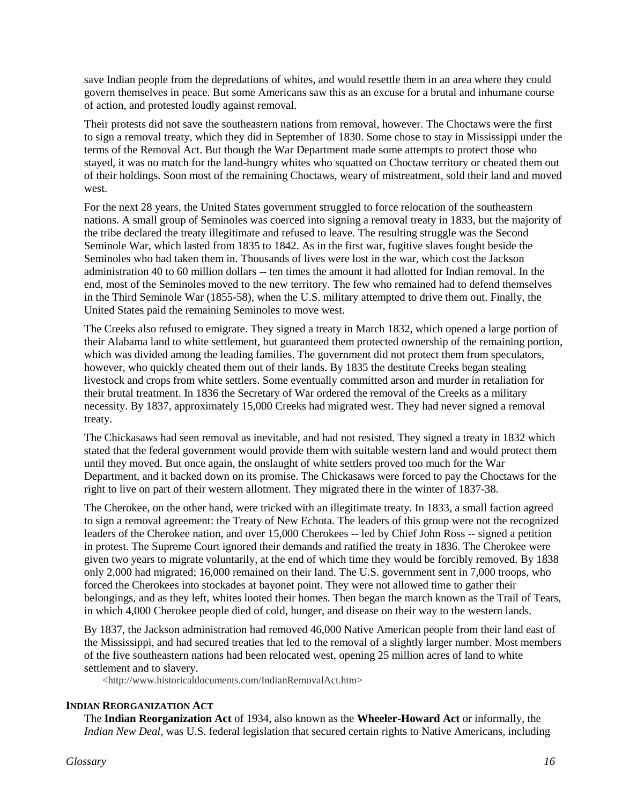save Indian people from the depredations of whites, and would resettle them in an area where they could govern themselves in peace. But some Americans saw this as an excuse for a brutal and inhumane course of action, and protested loudly against removal.

Their protests did not save the southeastern nations from removal, however. The Choctaws were the first to sign a removal treaty, which they did in September of 1830. Some chose to stay in Mississippi under the terms of the Removal Act. But though the War Department made some attempts to protect those who stayed, it was no match for the land-hungry whites who squatted on Choctaw territory or cheated them out of their holdings. Soon most of the remaining Choctaws, weary of mistreatment, sold their land and moved west.

For the next 28 years, the United States government struggled to force relocation of the southeastern nations. A small group of Seminoles was coerced into signing a removal treaty in 1833, but the majority of the tribe declared the treaty illegitimate and refused to leave. The resulting struggle was the Second Seminole War, which lasted from 1835 to 1842. As in the first war, fugitive slaves fought beside the Seminoles who had taken them in. Thousands of lives were lost in the war, which cost the Jackson administration 40 to 60 million dollars -- ten times the amount it had allotted for Indian removal. In the end, most of the Seminoles moved to the new territory. The few who remained had to defend themselves in the Third Seminole War (1855-58), when the U.S. military attempted to drive them out. Finally, the United States paid the remaining Seminoles to move west.

The Creeks also refused to emigrate. They signed a treaty in March 1832, which opened a large portion of their Alabama land to white settlement, but guaranteed them protected ownership of the remaining portion, which was divided among the leading families. The government did not protect them from speculators, however, who quickly cheated them out of their lands. By 1835 the destitute Creeks began stealing livestock and crops from white settlers. Some eventually committed arson and murder in retaliation for their brutal treatment. In 1836 the Secretary of War ordered the removal of the Creeks as a military necessity. By 1837, approximately 15,000 Creeks had migrated west. They had never signed a removal treaty.

The Chickasaws had seen removal as inevitable, and had not resisted. They signed a treaty in 1832 which stated that the federal government would provide them with suitable western land and would protect them until they moved. But once again, the onslaught of white settlers proved too much for the War Department, and it backed down on its promise. The Chickasaws were forced to pay the Choctaws for the right to live on part of their western allotment. They migrated there in the winter of 1837-38.

The Cherokee, on the other hand, were tricked with an illegitimate treaty. In 1833, a small faction agreed to sign a removal agreement: the Treaty of New Echota. The leaders of this group were not the recognized leaders of the Cherokee nation, and over 15,000 Cherokees -- led by Chief John Ross -- signed a petition in protest. The Supreme Court ignored their demands and ratified the treaty in 1836. The Cherokee were given two years to migrate voluntarily, at the end of which time they would be forcibly removed. By 1838 only 2,000 had migrated; 16,000 remained on their land. The U.S. government sent in 7,000 troops, who forced the Cherokees into stockades at bayonet point. They were not allowed time to gather their belongings, and as they left, whites looted their homes. Then began the march known as the Trail of Tears, in which 4,000 Cherokee people died of cold, hunger, and disease on their way to the western lands.

By 1837, the Jackson administration had removed 46,000 Native American people from their land east of the Mississippi, and had secured treaties that led to the removal of a slightly larger number. Most members of the five southeastern nations had been relocated west, opening 25 million acres of land to white settlement and to slavery.

<http://www.historicaldocuments.com/IndianRemovalAct.htm>

## **INDIAN REORGANIZATION ACT**

The **Indian Reorganization Act** of 1934, also known as the **Wheeler-Howard Act** or informally, the *Indian New Deal,* was U.S. federal legislation that secured certain rights to Native Americans, including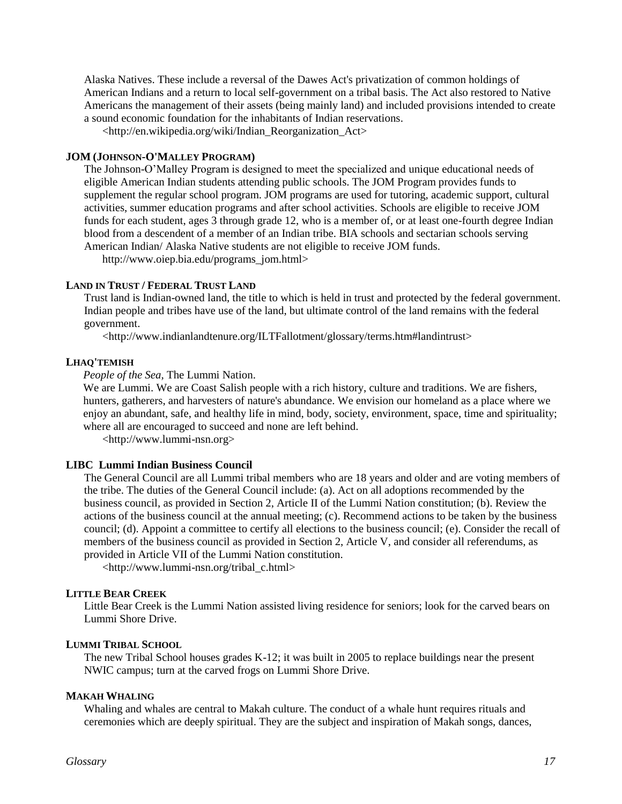Alaska Natives. These include a reversal of the Dawes Act's privatization of common holdings of [American Indians](http://en.wikipedia.org/wiki/Native_Americans_in_the_United_States) and a return to local [self-government](http://en.wikipedia.org/wiki/Sovereignty) on a tribal basis. The Act also restored to Native Americans the management of their assets (being mainly land) and included provisions intended to create a sound economic foundation for the inhabitants of [Indian reservations.](http://en.wikipedia.org/wiki/Indian_reservation)

<http://en.wikipedia.org/wiki/Indian\_Reorganization\_Act>

#### **JOM (JOHNSON-O'MALLEY PROGRAM)**

The Johnson-O'Malley Program is designed to meet the specialized and unique educational needs of eligible American Indian students attending public schools. The JOM Program provides funds to supplement the regular school program. JOM programs are used for tutoring, academic support, cultural activities, summer education programs and after school activities. Schools are eligible to receive JOM funds for each student, ages 3 through grade 12, who is a member of, or at least one-fourth degree Indian blood from a descendent of a member of an Indian tribe. BIA schools and sectarian schools serving American Indian/ Alaska Native students are not eligible to receive JOM funds.

http://www.oiep.bia.edu/programs\_jom.html>

## **LAND IN TRUST / FEDERAL TRUST LAND**

Trust land is Indian-owned land, the title to which is held in trust and protected by the federal government. Indian people and tribes have use of the land, but ultimate control of the land remains with the federal government.

<http://www.indianlandtenure.org/ILTFallotment/glossary/terms.htm#landintrust>

## **LHAQ'TEMISH**

*People of the Sea,* The Lummi Nation.

We are Lummi. We are Coast Salish people with a rich history, culture and traditions. We are fishers, hunters, gatherers, and harvesters of nature's abundance. We envision our homeland as a place where we enjoy an abundant, safe, and healthy life in mind, body, society, environment, space, time and spirituality; where all are encouraged to succeed and none are left behind.

<http://www.lummi-nsn.org>

## **LIBC Lummi Indian Business Council**

The General Council are all Lummi tribal members who are 18 years and older and are voting members of the tribe. The duties of the General Council include: (a). Act on all adoptions recommended by the business council, as provided in Section 2, Article II of the Lummi Nation constitution; (b). Review the actions of the business council at the annual meeting; (c). Recommend actions to be taken by the business council; (d). Appoint a committee to certify all elections to the business council; (e). Consider the recall of members of the business council as provided in Section 2, Article V, and consider all referendums, as provided in Article VII of the Lummi Nation constitution.

<http://www.lummi-nsn.org/tribal\_c.html>

#### **LITTLE BEAR CREEK**

Little Bear Creek is the Lummi Nation assisted living residence for seniors; look for the carved bears on Lummi Shore Drive.

## **LUMMI TRIBAL SCHOOL**

The new Tribal School houses grades K-12; it was built in 2005 to replace buildings near the present NWIC campus; turn at the carved frogs on Lummi Shore Drive.

## **MAKAH WHALING**

Whaling and whales are central to Makah culture. The conduct of a whale hunt requires rituals and ceremonies which are deeply spiritual. They are the subject and inspiration of Makah songs, dances,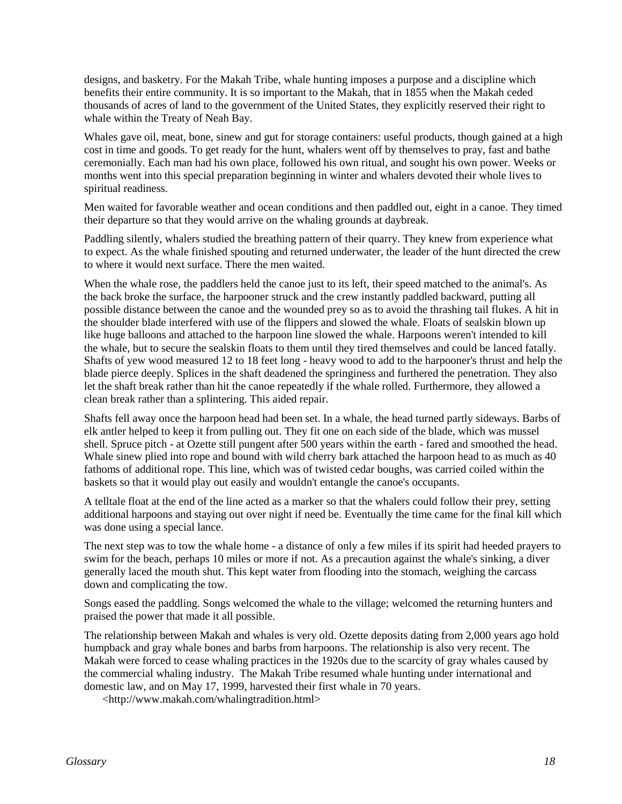designs, and basketry. For the Makah Tribe, whale hunting imposes a purpose and a discipline which benefits their entire community. It is so important to the Makah, that in 1855 when the Makah ceded thousands of acres of land to the government of the United States, they explicitly reserved their right to whale within the Treaty of Neah Bay.

Whales gave oil, meat, bone, sinew and gut for storage containers: useful products, though gained at a high cost in time and goods. To get ready for the hunt, whalers went off by themselves to pray, fast and bathe ceremonially. Each man had his own place, followed his own ritual, and sought his own power. Weeks or months went into this special preparation beginning in winter and whalers devoted their whole lives to spiritual readiness.

Men waited for favorable weather and ocean conditions and then paddled out, eight in a canoe. They timed their departure so that they would arrive on the whaling grounds at daybreak.

Paddling silently, whalers studied the breathing pattern of their quarry. They knew from experience what to expect. As the whale finished spouting and returned underwater, the leader of the hunt directed the crew to where it would next surface. There the men waited.

When the whale rose, the paddlers held the canoe just to its left, their speed matched to the animal's. As the back broke the surface, the harpooner struck and the crew instantly paddled backward, putting all possible distance between the canoe and the wounded prey so as to avoid the thrashing tail flukes. A hit in the shoulder blade interfered with use of the flippers and slowed the whale. Floats of sealskin blown up like huge balloons and attached to the harpoon line slowed the whale. Harpoons weren't intended to kill the whale, but to secure the sealskin floats to them until they tired themselves and could be lanced fatally. Shafts of yew wood measured 12 to 18 feet long - heavy wood to add to the harpooner's thrust and help the blade pierce deeply. Splices in the shaft deadened the springiness and furthered the penetration. They also let the shaft break rather than hit the canoe repeatedly if the whale rolled. Furthermore, they allowed a clean break rather than a splintering. This aided repair.

Shafts fell away once the harpoon head had been set. In a whale, the head turned partly sideways. Barbs of elk antler helped to keep it from pulling out. They fit one on each side of the blade, which was mussel shell. Spruce pitch - at Ozette still pungent after 500 years within the earth - fared and smoothed the head. Whale sinew plied into rope and bound with wild cherry bark attached the harpoon head to as much as 40 fathoms of additional rope. This line, which was of twisted cedar boughs, was carried coiled within the baskets so that it would play out easily and wouldn't entangle the canoe's occupants.

A telltale float at the end of the line acted as a marker so that the whalers could follow their prey, setting additional harpoons and staying out over night if need be. Eventually the time came for the final kill which was done using a special lance.

The next step was to tow the whale home - a distance of only a few miles if its spirit had heeded prayers to swim for the beach, perhaps 10 miles or more if not. As a precaution against the whale's sinking, a diver generally laced the mouth shut. This kept water from flooding into the stomach, weighing the carcass down and complicating the tow.

Songs eased the paddling. Songs welcomed the whale to the village; welcomed the returning hunters and praised the power that made it all possible.

The relationship between Makah and whales is very old. Ozette deposits dating from 2,000 years ago hold humpback and gray whale bones and barbs from harpoons. The relationship is also very recent. The Makah were forced to cease whaling practices in the 1920s due to the scarcity of gray whales caused by the commercial whaling industry. The Makah Tribe resumed whale hunting under international and domestic law, and on May 17, 1999, harvested their first whale in 70 years.

<http://www.makah.com/whalingtradition.html>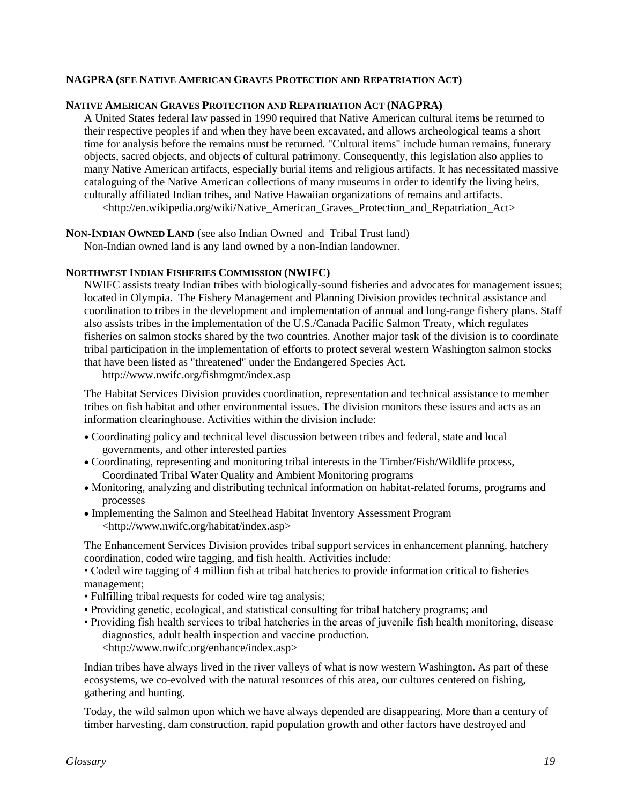## **NAGPRA (SEE NATIVE AMERICAN GRAVES PROTECTION AND REPATRIATION ACT)**

#### **NATIVE AMERICAN GRAVES PROTECTION AND REPATRIATION ACT (NAGPRA)**

A [United States federal law](http://en.wikipedia.org/wiki/United_States_federal_law) passed in [1990](http://en.wikipedia.org/wiki/1990) required that Native American cultural items be returned to their respective peoples if and when they have been excavated, and allows [archeological](http://en.wikipedia.org/wiki/Archaeology) teams a short time for analysis before the remains must be returned. "Cultural items" include human remains, funerary objects, sacred objects, and objects of cultural patrimony. Consequently, this legislation also applies to many Native American [artifacts,](http://en.wikipedia.org/wiki/Artifact_%28archaeology%29) especially burial items and religious artifacts. It has necessitated massive cataloguing of the Native American collections of many museums in order to identify the living heirs, culturally affiliated Indian tribes, and Native Hawaiian organizations of remains and artifacts. <http://en.wikipedia.org/wiki/Native American Graves Protection and Repatriation Act>

**NON-INDIAN OWNED LAND** (see also Indian Owned and Tribal Trust land)

Non-Indian owned land is any land owned by a non-Indian landowner.

#### **NORTHWEST INDIAN FISHERIES COMMISSION (NWIFC)**

NWIFC assists treaty Indian tribes with biologically-sound fisheries and advocates for management issues; located in Olympia. The Fishery Management and Planning Division provides technical assistance and coordination to tribes in the development and implementation of annual and long-range fishery plans. Staff also assists tribes in the implementation of the U.S./Canada Pacific Salmon Treaty, which regulates fisheries on salmon stocks shared by the two countries. Another major task of the division is to coordinate tribal participation in the implementation of efforts to protect several western Washington salmon stocks that have been listed as "threatened" under the Endangered Species Act.

http://www.nwifc.org/fishmgmt/index.asp

The Habitat Services Division provides coordination, representation and technical assistance to member tribes on fish habitat and other environmental issues. The division monitors these issues and acts as an information clearinghouse. Activities within the division include:

- Coordinating policy and technical level discussion between tribes and federal, state and local governments, and other interested parties
- Coordinating, representing and monitoring tribal interests in the Timber/Fish/Wildlife process, Coordinated Tribal Water Quality and Ambient Monitoring programs
- Monitoring, analyzing and distributing technical information on habitat-related forums, programs and processes
- Implementing the Salmon and Steelhead Habitat Inventory Assessment Program <http://www.nwifc.org/habitat/index.asp>

The Enhancement Services Division provides tribal support services in enhancement planning, hatchery coordination, coded wire tagging, and fish health. Activities include:

- Coded wire tagging of 4 million fish at tribal hatcheries to provide information critical to fisheries management;
- Fulfilling tribal requests for coded wire tag analysis;
- Providing genetic, ecological, and statistical consulting for tribal hatchery programs; and
- Providing fish health services to tribal hatcheries in the areas of juvenile fish health monitoring, disease diagnostics, adult health inspection and vaccine production. <http://www.nwifc.org/enhance/index.asp>

Indian tribes have always lived in the river valleys of what is now western Washington. As part of these ecosystems, we co-evolved with the natural resources of this area, our cultures centered on fishing, gathering and hunting.

Today, the wild salmon upon which we have always depended are disappearing. More than a century of timber harvesting, dam construction, rapid population growth and other factors have destroyed and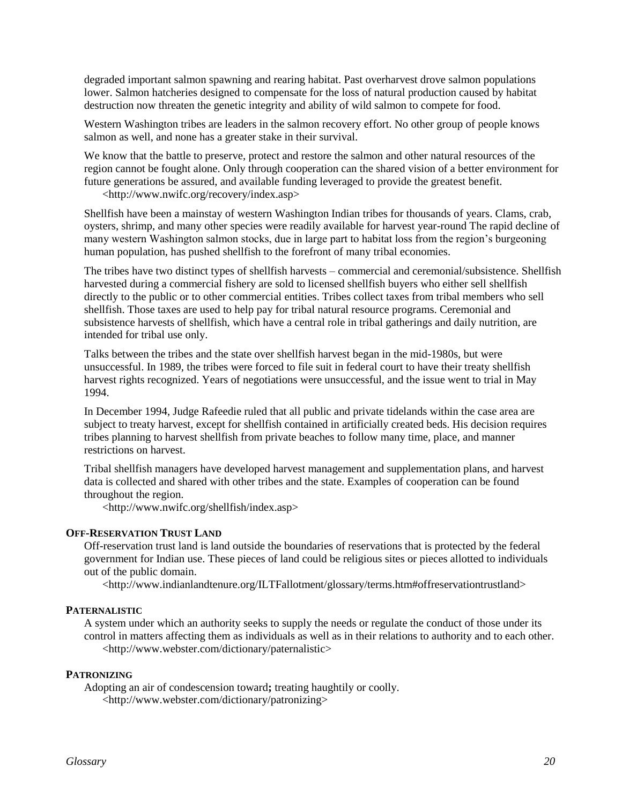degraded important salmon spawning and rearing habitat. Past overharvest drove salmon populations lower. Salmon hatcheries designed to compensate for the loss of natural production caused by habitat destruction now threaten the genetic integrity and ability of wild salmon to compete for food.

Western Washington tribes are leaders in the salmon recovery effort. No other group of people knows salmon as well, and none has a greater stake in their survival.

We know that the battle to preserve, protect and restore the salmon and other natural resources of the region cannot be fought alone. Only through cooperation can the shared vision of a better environment for future generations be assured, and available funding leveraged to provide the greatest benefit.

<http://www.nwifc.org/recovery/index.asp>

Shellfish have been a mainstay of western Washington Indian tribes for thousands of years. Clams, crab, oysters, shrimp, and many other species were readily available for harvest year-round The rapid decline of many western Washington salmon stocks, due in large part to habitat loss from the region's burgeoning human population, has pushed shellfish to the forefront of many tribal economies.

The tribes have two distinct types of shellfish harvests – commercial and ceremonial/subsistence. Shellfish harvested during a commercial fishery are sold to licensed shellfish buyers who either sell shellfish directly to the public or to other commercial entities. Tribes collect taxes from tribal members who sell shellfish. Those taxes are used to help pay for tribal natural resource programs. Ceremonial and subsistence harvests of shellfish, which have a central role in tribal gatherings and daily nutrition, are intended for tribal use only.

Talks between the tribes and the state over shellfish harvest began in the mid-1980s, but were unsuccessful. In 1989, the tribes were forced to file suit in federal court to have their treaty shellfish harvest rights recognized. Years of negotiations were unsuccessful, and the issue went to trial in May 1994.

In December 1994, Judge Rafeedie ruled that all public and private tidelands within the case area are subject to treaty harvest, except for shellfish contained in artificially created beds. His decision requires tribes planning to harvest shellfish from private beaches to follow many time, place, and manner restrictions on harvest.

Tribal shellfish managers have developed harvest management and supplementation plans, and harvest data is collected and shared with other tribes and the state. Examples of cooperation can be found throughout the region.

<http://www.nwifc.org/shellfish/index.asp>

#### **OFF-RESERVATION TRUST LAND**

Off-reservation trust land is land outside the boundaries of reservations that is protected by the federal government for Indian use. These pieces of land could be religious sites or pieces allotted to individuals out of the public domain.

<http://www.indianlandtenure.org/ILTFallotment/glossary/terms.htm#offreservationtrustland>

## **PATERNALISTIC**

A system under which an authority seeks to supply the needs or regulate the conduct of those under its control in matters affecting them as individuals as well as in their relations to authority and to each other. <http://www.webster.com/dictionary/paternalistic>

#### **PATRONIZING**

Adopting an air of condescension toward**;** treating haughtily or coolly. <http://www.webster.com/dictionary/patronizing>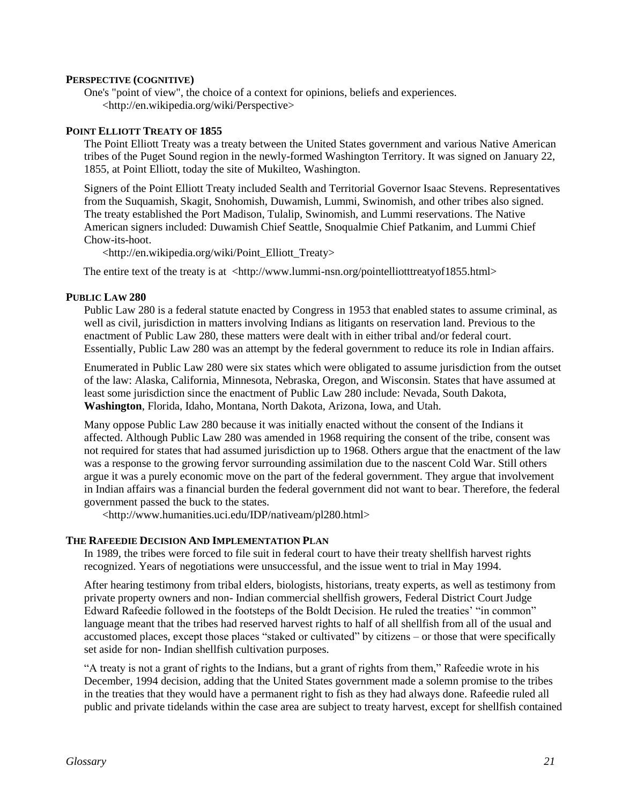#### **PERSPECTIVE (COGNITIVE)**

One's "point of view", the choice of a context for opinions, beliefs and experiences. <http://en.wikipedia.org/wiki/Perspective>

#### **POINT ELLIOTT TREATY OF 1855**

The Point Elliott Treaty was a treaty between the [United States](http://en.wikipedia.org/wiki/United_States) government and various [Native American](http://en.wikipedia.org/wiki/Native_Americans_in_the_United_States) tribes of the [Puget Sound](http://en.wikipedia.org/wiki/Puget_Sound) region in the newly-formed [Washington Territory.](http://en.wikipedia.org/wiki/Washington_Territory) It was signed on [January 22,](http://en.wikipedia.org/wiki/January_22) [1855,](http://en.wikipedia.org/wiki/1855) at Point Elliott, today the site of [Mukilteo, Washington.](http://en.wikipedia.org/wiki/Mukilteo%2C_Washington)

Signers of the Point Elliott Treaty included [Sealth](http://en.wikipedia.org/wiki/Chief_Seattle) and Territorial Governo[r Isaac Stevens.](http://en.wikipedia.org/wiki/Isaac_Stevens) Representatives from the [Suquamish,](http://en.wikipedia.org/wiki/Suquamish) [Skagit,](http://en.wikipedia.org/wiki/Skagit) [Snohomish,](http://en.wikipedia.org/wiki/Snohomish) [Duwamish,](http://en.wikipedia.org/wiki/Duwamish) [Lummi,](http://en.wikipedia.org/wiki/Lummi) [Swinomish,](http://en.wikipedia.org/wiki/Swinomish) and other tribes also signed. The treaty established the [Port Madison,](http://en.wikipedia.org/wiki/Port_Madison_Indian_Reservation) [Tulalip,](http://en.wikipedia.org/wiki/Tulalip) Swinomish, and Lummi reservations. The Native American signers included: [Duwamish](http://en.wikipedia.org/wiki/Duwamish) [Chief Seattle,](http://en.wikipedia.org/wiki/Chief_Seattle) [Snoqualmie](http://en.wikipedia.org/wiki/Snoqualmie_%28tribe%29) [Chief Patkanim,](http://en.wikipedia.org/w/index.php?title=Chief_Patkanim&action=edit) an[d Lummi](http://en.wikipedia.org/wiki/Lummi) Chief [Chow-its-hoot.](http://en.wikipedia.org/w/index.php?title=Chow-its-hoot&action=edit)

<http://en.wikipedia.org/wiki/Point\_Elliott\_Treaty>

The entire text of the treaty is at <http://www.lummi-nsn.org/pointelliotttreatyof1855.html>

#### **PUBLIC LAW 280**

Public Law 280 is a federal statute enacted by Congress in 1953 that enabled states to assume criminal, as well as civil, jurisdiction in matters involving Indians as litigants on reservation land. Previous to the enactment of Public Law 280, these matters were dealt with in either tribal and/or federal court. Essentially, Public Law 280 was an attempt by the federal government to reduce its role in Indian affairs.

Enumerated in Public Law 280 were six states which were obligated to assume jurisdiction from the outset of the law: Alaska, California, Minnesota, Nebraska, Oregon, and Wisconsin. States that have assumed at least some jurisdiction since the enactment of Public Law 280 include: Nevada, South Dakota, **Washington**, Florida, Idaho, Montana, North Dakota, Arizona, Iowa, and Utah.

Many oppose Public Law 280 because it was initially enacted without the consent of the Indians it affected. Although Public Law 280 was amended in 1968 requiring the consent of the tribe, consent was not required for states that had assumed jurisdiction up to 1968. Others argue that the enactment of the law was a response to the growing fervor surrounding assimilation due to the nascent Cold War. Still others argue it was a purely economic move on the part of the federal government. They argue that involvement in Indian affairs was a financial burden the federal government did not want to bear. Therefore, the federal government passed the buck to the states.

<http://www.humanities.uci.edu/IDP/nativeam/pl280.html>

#### **THE RAFEEDIE DECISION AND IMPLEMENTATION PLAN**

In 1989, the tribes were forced to file suit in federal court to have their treaty shellfish harvest rights recognized. Years of negotiations were unsuccessful, and the issue went to trial in May 1994.

After hearing testimony from tribal elders, biologists, historians, treaty experts, as well as testimony from private property owners and non- Indian commercial shellfish growers, Federal District Court Judge Edward Rafeedie followed in the footsteps of the Boldt Decision. He ruled the treaties' "in common" language meant that the tribes had reserved harvest rights to half of all shellfish from all of the usual and accustomed places, except those places "staked or cultivated" by citizens – or those that were specifically set aside for non- Indian shellfish cultivation purposes.

"A treaty is not a grant of rights to the Indians, but a grant of rights from them," Rafeedie wrote in his December, 1994 decision, adding that the United States government made a solemn promise to the tribes in the treaties that they would have a permanent right to fish as they had always done. Rafeedie ruled all public and private tidelands within the case area are subject to treaty harvest, except for shellfish contained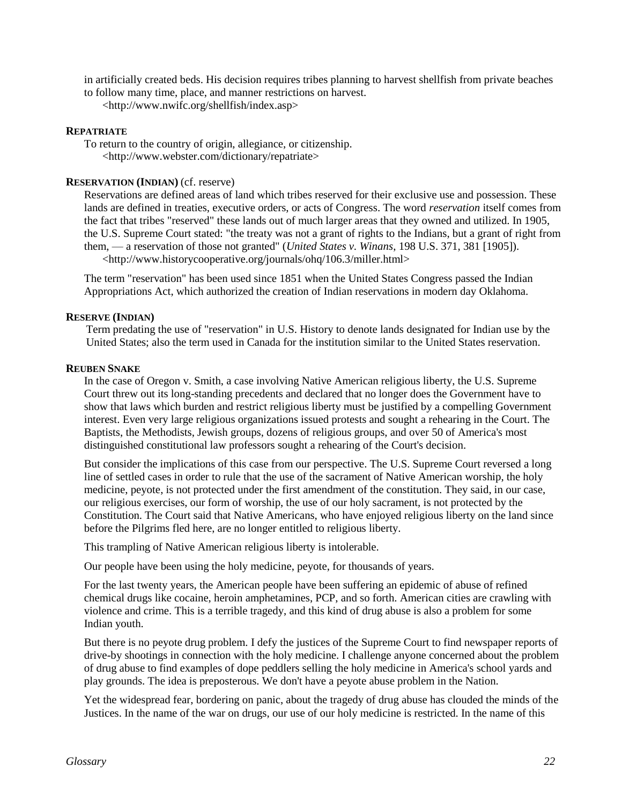in artificially created beds. His decision requires tribes planning to harvest shellfish from private beaches to follow many time, place, and manner restrictions on harvest.

<http://www.nwifc.org/shellfish/index.asp>

#### **REPATRIATE**

To return to the country of origin, allegiance, or citizenship. <http://www.webster.com/dictionary/repatriate>

## **RESERVATION (INDIAN)** (cf. reserve)

Reservations are defined areas of land which tribes reserved for their exclusive use and possession. These lands are defined in treaties, executive orders, or acts of Congress. The word *reservation* itself comes from the fact that tribes "reserved" these lands out of much larger areas that they owned and utilized. In 1905, the U.S. Supreme Court stated: "the treaty was not a grant of rights to the Indians, but a grant of right from them, — a reservation of those not granted" (*United States v. Winans*, 198 U.S. 371, 381 [1905]). <http://www.historycooperative.org/journals/ohq/106.3/miller.html>

The term "reservation" has been used since 1851 when the [United States Congress](http://en.wikipedia.org/wiki/United_States_Congress) passed the [Indian](http://en.wikipedia.org/wiki/Indian_Appropriations_Act)  [Appropriations Act,](http://en.wikipedia.org/wiki/Indian_Appropriations_Act) which authorized the creation of Indian reservations in modern day [Oklahoma.](http://en.wikipedia.org/wiki/Oklahoma)

## **RESERVE (INDIAN)**

Term predating the use of "reservation" in U.S. History to denote lands designated for Indian use by the United States; also the term used in Canada for the institution similar to the United States reservation.

## **REUBEN SNAKE**

In the case of Oregon v. Smith, a case involving Native American religious liberty, the U.S. Supreme Court threw out its long-standing precedents and declared that no longer does the Government have to show that laws which burden and restrict religious liberty must be justified by a compelling Government interest. Even very large religious organizations issued protests and sought a rehearing in the Court. The Baptists, the Methodists, Jewish groups, dozens of religious groups, and over 50 of America's most distinguished constitutional law professors sought a rehearing of the Court's decision.

But consider the implications of this case from our perspective. The U.S. Supreme Court reversed a long line of settled cases in order to rule that the use of the sacrament of Native American worship, the holy medicine, peyote, is not protected under the first amendment of the constitution. They said, in our case, our religious exercises, our form of worship, the use of our holy sacrament, is not protected by the Constitution. The Court said that Native Americans, who have enjoyed religious liberty on the land since before the Pilgrims fled here, are no longer entitled to religious liberty.

This trampling of Native American religious liberty is intolerable.

Our people have been using the holy medicine, peyote, for thousands of years.

For the last twenty years, the American people have been suffering an epidemic of abuse of refined chemical drugs like cocaine, heroin amphetamines, PCP, and so forth. American cities are crawling with violence and crime. This is a terrible tragedy, and this kind of drug abuse is also a problem for some Indian youth.

But there is no peyote drug problem. I defy the justices of the Supreme Court to find newspaper reports of drive-by shootings in connection with the holy medicine. I challenge anyone concerned about the problem of drug abuse to find examples of dope peddlers selling the holy medicine in America's school yards and play grounds. The idea is preposterous. We don't have a peyote abuse problem in the Nation.

Yet the widespread fear, bordering on panic, about the tragedy of drug abuse has clouded the minds of the Justices. In the name of the war on drugs, our use of our holy medicine is restricted. In the name of this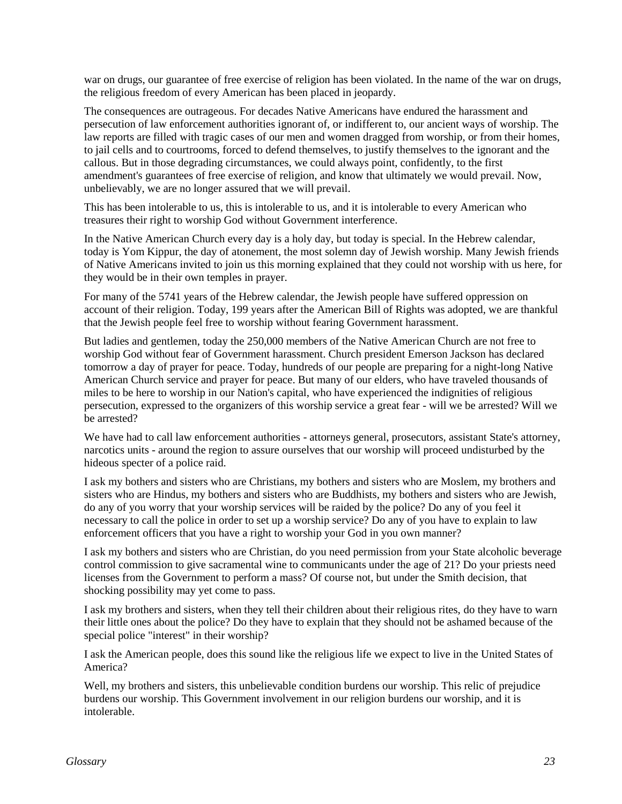war on drugs, our guarantee of free exercise of religion has been violated. In the name of the war on drugs, the religious freedom of every American has been placed in jeopardy.

The consequences are outrageous. For decades Native Americans have endured the harassment and persecution of law enforcement authorities ignorant of, or indifferent to, our ancient ways of worship. The law reports are filled with tragic cases of our men and women dragged from worship, or from their homes, to jail cells and to courtrooms, forced to defend themselves, to justify themselves to the ignorant and the callous. But in those degrading circumstances, we could always point, confidently, to the first amendment's guarantees of free exercise of religion, and know that ultimately we would prevail. Now, unbelievably, we are no longer assured that we will prevail.

This has been intolerable to us, this is intolerable to us, and it is intolerable to every American who treasures their right to worship God without Government interference.

In the Native American Church every day is a holy day, but today is special. In the Hebrew calendar, today is Yom Kippur, the day of atonement, the most solemn day of Jewish worship. Many Jewish friends of Native Americans invited to join us this morning explained that they could not worship with us here, for they would be in their own temples in prayer.

For many of the 5741 years of the Hebrew calendar, the Jewish people have suffered oppression on account of their religion. Today, 199 years after the American Bill of Rights was adopted, we are thankful that the Jewish people feel free to worship without fearing Government harassment.

But ladies and gentlemen, today the 250,000 members of the Native American Church are not free to worship God without fear of Government harassment. Church president Emerson Jackson has declared tomorrow a day of prayer for peace. Today, hundreds of our people are preparing for a night-long Native American Church service and prayer for peace. But many of our elders, who have traveled thousands of miles to be here to worship in our Nation's capital, who have experienced the indignities of religious persecution, expressed to the organizers of this worship service a great fear - will we be arrested? Will we be arrested?

We have had to call law enforcement authorities - attorneys general, prosecutors, assistant State's attorney, narcotics units - around the region to assure ourselves that our worship will proceed undisturbed by the hideous specter of a police raid.

I ask my bothers and sisters who are Christians, my bothers and sisters who are Moslem, my brothers and sisters who are Hindus, my bothers and sisters who are Buddhists, my bothers and sisters who are Jewish, do any of you worry that your worship services will be raided by the police? Do any of you feel it necessary to call the police in order to set up a worship service? Do any of you have to explain to law enforcement officers that you have a right to worship your God in you own manner?

I ask my bothers and sisters who are Christian, do you need permission from your State alcoholic beverage control commission to give sacramental wine to communicants under the age of 21? Do your priests need licenses from the Government to perform a mass? Of course not, but under the Smith decision, that shocking possibility may yet come to pass.

I ask my brothers and sisters, when they tell their children about their religious rites, do they have to warn their little ones about the police? Do they have to explain that they should not be ashamed because of the special police "interest" in their worship?

I ask the American people, does this sound like the religious life we expect to live in the United States of America?

Well, my brothers and sisters, this unbelievable condition burdens our worship. This relic of prejudice burdens our worship. This Government involvement in our religion burdens our worship, and it is intolerable.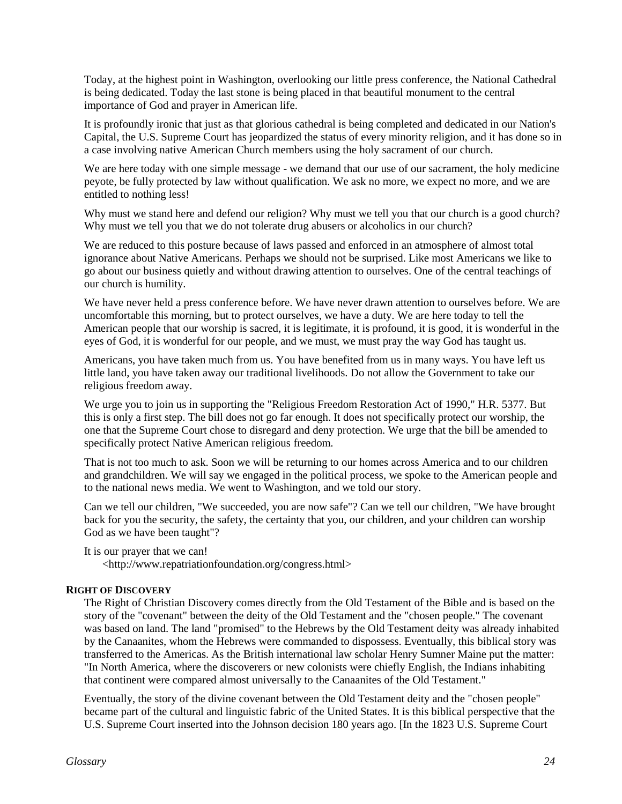Today, at the highest point in Washington, overlooking our little press conference, the National Cathedral is being dedicated. Today the last stone is being placed in that beautiful monument to the central importance of God and prayer in American life.

It is profoundly ironic that just as that glorious cathedral is being completed and dedicated in our Nation's Capital, the U.S. Supreme Court has jeopardized the status of every minority religion, and it has done so in a case involving native American Church members using the holy sacrament of our church.

We are here today with one simple message - we demand that our use of our sacrament, the holy medicine peyote, be fully protected by law without qualification. We ask no more, we expect no more, and we are entitled to nothing less!

Why must we stand here and defend our religion? Why must we tell you that our church is a good church? Why must we tell you that we do not tolerate drug abusers or alcoholics in our church?

We are reduced to this posture because of laws passed and enforced in an atmosphere of almost total ignorance about Native Americans. Perhaps we should not be surprised. Like most Americans we like to go about our business quietly and without drawing attention to ourselves. One of the central teachings of our church is humility.

We have never held a press conference before. We have never drawn attention to ourselves before. We are uncomfortable this morning, but to protect ourselves, we have a duty. We are here today to tell the American people that our worship is sacred, it is legitimate, it is profound, it is good, it is wonderful in the eyes of God, it is wonderful for our people, and we must, we must pray the way God has taught us.

Americans, you have taken much from us. You have benefited from us in many ways. You have left us little land, you have taken away our traditional livelihoods. Do not allow the Government to take our religious freedom away.

We urge you to join us in supporting the "Religious Freedom Restoration Act of 1990," H.R. 5377. But this is only a first step. The bill does not go far enough. It does not specifically protect our worship, the one that the Supreme Court chose to disregard and deny protection. We urge that the bill be amended to specifically protect Native American religious freedom.

That is not too much to ask. Soon we will be returning to our homes across America and to our children and grandchildren. We will say we engaged in the political process, we spoke to the American people and to the national news media. We went to Washington, and we told our story.

Can we tell our children, "We succeeded, you are now safe"? Can we tell our children, "We have brought back for you the security, the safety, the certainty that you, our children, and your children can worship God as we have been taught"?

It is our prayer that we can!

<http://www.repatriationfoundation.org/congress.html>

## **RIGHT OF DISCOVERY**

The Right of Christian Discovery comes directly from the Old Testament of the Bible and is based on the story of the "covenant" between the deity of the Old Testament and the "chosen people." The covenant was based on land. The land "promised" to the Hebrews by the Old Testament deity was already inhabited by the Canaanites, whom the Hebrews were commanded to dispossess. Eventually, this biblical story was transferred to the Americas. As the British international law scholar Henry Sumner Maine put the matter: "In North America, where the discoverers or new colonists were chiefly English, the Indians inhabiting that continent were compared almost universally to the Canaanites of the Old Testament."

Eventually, the story of the divine covenant between the Old Testament deity and the "chosen people" became part of the cultural and linguistic fabric of the United States. It is this biblical perspective that the U.S. Supreme Court inserted into the Johnson decision 180 years ago. [In the 1823 U.S. Supreme Court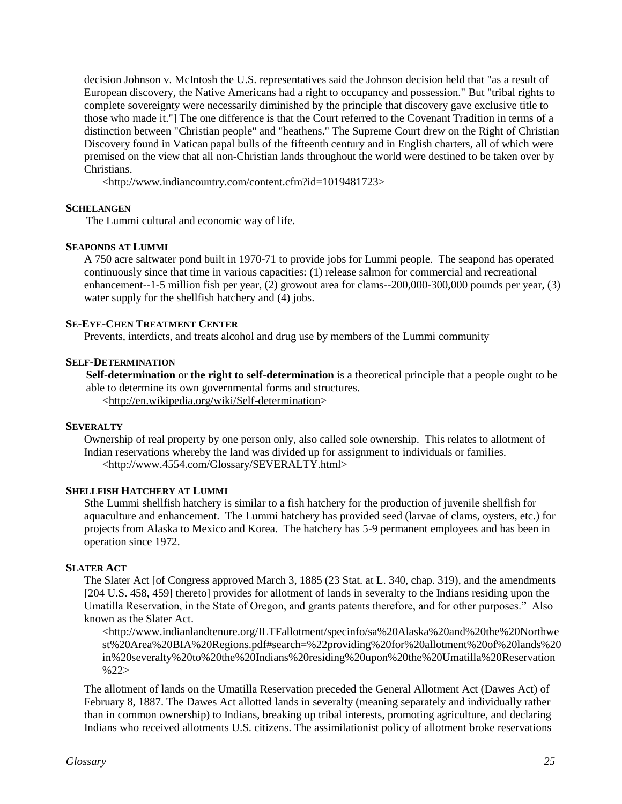decision Johnson v. McIntosh the U.S. representatives said the Johnson decision held that "as a result of European discovery, the Native Americans had a right to occupancy and possession." But "tribal rights to complete sovereignty were necessarily diminished by the principle that discovery gave exclusive title to those who made it."] The one difference is that the Court referred to the Covenant Tradition in terms of a distinction between "Christian people" and "heathens." The Supreme Court drew on the Right of Christian Discovery found in Vatican papal bulls of the fifteenth century and in English charters, all of which were premised on the view that all non-Christian lands throughout the world were destined to be taken over by Christians.

<http://www.indiancountry.com/content.cfm?id=1019481723>

## **SCHELANGEN**

The Lummi cultural and economic way of life.

## **SEAPONDS AT LUMMI**

A 750 acre saltwater pond built in 1970-71 to provide jobs for Lummi people. The seapond has operated continuously since that time in various capacities: (1) release salmon for commercial and recreational enhancement--1-5 million fish per year, (2) growout area for clams--200,000-300,000 pounds per year, (3) water supply for the shellfish hatchery and (4) jobs.

## **SE-EYE-CHEN TREATMENT CENTER**

Prevents, interdicts, and treats alcohol and drug use by members of the Lummi community

## **SELF-DETERMINATION**

**Self-determination** or **the right to self-determination** is a theoretical principle tha[t a people](http://en.wikipedia.org/wiki/Nation) ought to be able to determine its own governmental forms and structures. [<http://en.wikipedia.org/wiki/Self-determination>](http://en.wikipedia.org/wiki/Self-determination)

#### **SEVERALTY**

Ownership of real property by one person only, also called sole ownership. This relates to allotment of Indian reservations whereby the land was divided up for assignment to individuals or families. <http://www.4554.com/Glossary/SEVERALTY.html>

#### **SHELLFISH HATCHERY AT LUMMI**

Sthe Lummi shellfish hatchery is similar to a fish hatchery for the production of juvenile shellfish for aquaculture and enhancement. The Lummi hatchery has provided seed (larvae of clams, oysters, etc.) for projects from Alaska to Mexico and Korea. The hatchery has 5-9 permanent employees and has been in operation since 1972.

#### **SLATER ACT**

The Slater Act [of Congress approved March 3, 1885 (23 Stat. at L. 340, chap. 319), and the amendments [204 U.S. 458, 459] thereto] provides for allotment of lands in severalty to the Indians residing upon the Umatilla Reservation, in the State of Oregon, and grants patents therefore, and for other purposes." Also known as the Slater Act.

<http://www.indianlandtenure.org/ILTFallotment/specinfo/sa%20Alaska%20and%20the%20Northwe st%20Area%20BIA%20Regions.pdf#search=%22providing%20for%20allotment%20of%20lands%20 in%20severalty%20to%20the%20Indians%20residing%20upon%20the%20Umatilla%20Reservation  $%22>$ 

The allotment of lands on the Umatilla Reservation preceded the General Allotment Act (Dawes Act) of February 8, 1887. The Dawes Act allotted lands in severalty (meaning separately and individually rather than in common ownership) to Indians, breaking up tribal interests, promoting agriculture, and declaring Indians who received allotments U.S. citizens. The assimilationist policy of allotment broke reservations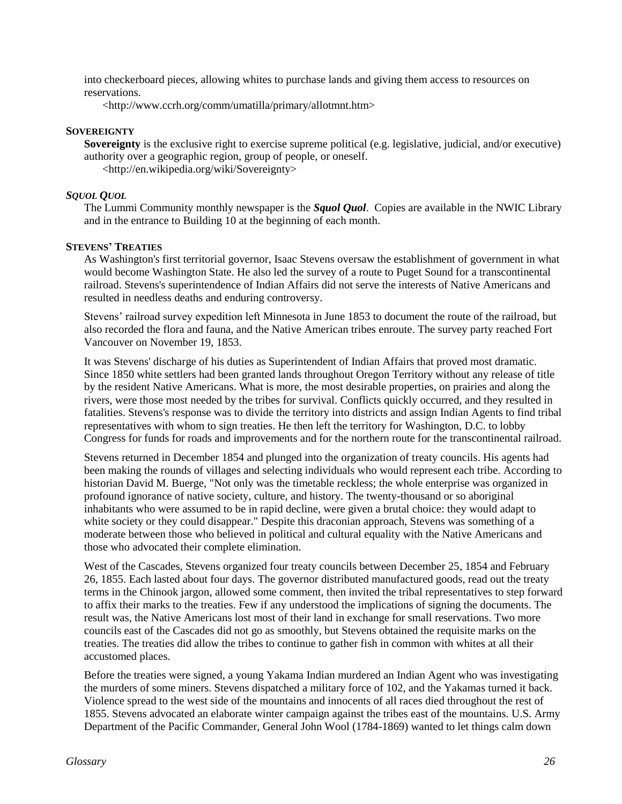into checkerboard pieces, allowing whites to purchase lands and giving them access to resources on reservations.

<http://www.ccrh.org/comm/umatilla/primary/allotmnt.htm>

## **SOVEREIGNTY**

**Sovereignty** is the exclusive right to exercise supreme [political](http://en.wikipedia.org/wiki/Political) (e.g. legislative, judicial, and/or executive) [authority](http://en.wikipedia.org/wiki/Authority) over a geographic region, group of people, or oneself. <http://en.wikipedia.org/wiki/Sovereignty>

## *SQUOL QUOL*

The Lummi Community monthly newspaper is the *Squol Quol*. Copies are available in the NWIC Library and in the entrance to Building 10 at the beginning of each month.

## **STEVENS' TREATIES**

As Washington's first territorial governor, Isaac Stevens oversaw the establishment of government in what would become Washington State. He also led the survey of a route to Puget Sound for a transcontinental railroad. Stevens's superintendence of Indian Affairs did not serve the interests of Native Americans and resulted in needless deaths and enduring controversy.

Stevens' railroad survey expedition left Minnesota in June 1853 to document the route of the railroad, but also recorded the flora and fauna, and the Native American tribes enroute. The survey party reached Fort Vancouver on November 19, 1853.

It was Stevens' discharge of his duties as Superintendent of Indian Affairs that proved most dramatic. Since 1850 white settlers had been granted lands throughout Oregon Territory without any release of title by the resident Native Americans. What is more, the most desirable properties, on prairies and along the rivers, were those most needed by the tribes for survival. Conflicts quickly occurred, and they resulted in fatalities. Stevens's response was to divide the territory into districts and assign Indian Agents to find tribal representatives with whom to sign treaties. He then left the territory for Washington, D.C. to lobby Congress for funds for roads and improvements and for the northern route for the transcontinental railroad.

Stevens returned in December 1854 and plunged into the organization of treaty councils. His agents had been making the rounds of villages and selecting individuals who would represent each tribe. According to historian David M. Buerge, "Not only was the timetable reckless; the whole enterprise was organized in profound ignorance of native society, culture, and history. The twenty-thousand or so aboriginal inhabitants who were assumed to be in rapid decline, were given a brutal choice: they would adapt to white society or they could disappear." Despite this draconian approach, Stevens was something of a moderate between those who believed in political and cultural equality with the Native Americans and those who advocated their complete elimination.

West of the Cascades, Stevens organized four treaty councils between December 25, 1854 and February 26, 1855. Each lasted about four days. The governor distributed manufactured goods, read out the treaty terms in the Chinook jargon, allowed some comment, then invited the tribal representatives to step forward to affix their marks to the treaties. Few if any understood the implications of signing the documents. The result was, the Native Americans lost most of their land in exchange for small reservations. Two more councils east of the Cascades did not go as smoothly, but Stevens obtained the requisite marks on the treaties. The treaties did allow the tribes to continue to gather fish in common with whites at all their accustomed places.

Before the treaties were signed, a young Yakama Indian murdered an Indian Agent who was investigating the murders of some miners. Stevens dispatched a military force of 102, and the Yakamas turned it back. Violence spread to the west side of the mountains and innocents of all races died throughout the rest of 1855. Stevens advocated an elaborate winter campaign against the tribes east of the mountains. U.S. Army Department of the Pacific Commander, General John Wool (1784-1869) wanted to let things calm down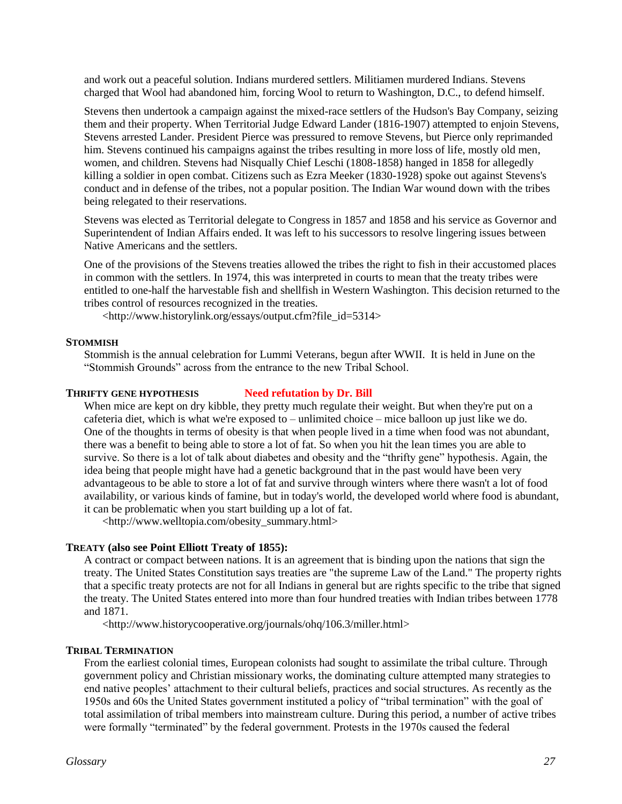and work out a peaceful solution. Indians murdered settlers. Militiamen murdered Indians. Stevens charged that Wool had abandoned him, forcing Wool to return to Washington, D.C., to defend himself.

Stevens then undertook a campaign against the mixed-race settlers of the Hudson's Bay Company, seizing them and their property. When Territorial Judge Edward Lander (1816-1907) attempted to enjoin Stevens, Stevens arrested Lander. President Pierce was pressured to remove Stevens, but Pierce only reprimanded him. Stevens continued his campaigns against the tribes resulting in more loss of life, mostly old men, women, and children. Stevens had Nisqually Chief Leschi (1808-1858) hanged in 1858 for allegedly killing a soldier in open combat. Citizens such as Ezra Meeker (1830-1928) spoke out against Stevens's conduct and in defense of the tribes, not a popular position. The Indian War wound down with the tribes being relegated to their reservations.

Stevens was elected as Territorial delegate to Congress in 1857 and 1858 and his service as Governor and Superintendent of Indian Affairs ended. It was left to his successors to resolve lingering issues between Native Americans and the settlers.

One of the provisions of the Stevens treaties allowed the tribes the right to fish in their accustomed places in common with the settlers. In 1974, this was interpreted in courts to mean that the treaty tribes were entitled to one-half the harvestable fish and shellfish in Western Washington. This decision returned to the tribes control of resources recognized in the treaties.

<http://www.historylink.org/essays/output.cfm?file\_id=5314>

#### **STOMMISH**

Stommish is the annual celebration for Lummi Veterans, begun after WWII. It is held in June on the "Stommish Grounds" across from the entrance to the new Tribal School.

#### **THRIFTY GENE HYPOTHESIS Need refutation by Dr. Bill**

When mice are kept on dry kibble, they pretty much regulate their weight. But when they're put on a cafeteria diet, which is what we're exposed to – unlimited choice – mice balloon up just like we do. One of the thoughts in terms of obesity is that when people lived in a time when food was not abundant, there was a benefit to being able to store a lot of fat. So when you hit the lean times you are able to survive. So there is a lot of talk about diabetes and obesity and the "thrifty gene" hypothesis. Again, the idea being that people might have had a genetic background that in the past would have been very advantageous to be able to store a lot of fat and survive through winters where there wasn't a lot of food availability, or various kinds of famine, but in today's world, the developed world where food is abundant, it can be problematic when you start building up a lot of fat.

<http://www.welltopia.com/obesity\_summary.html>

## **TREATY (also see Point Elliott Treaty of 1855):**

A contract or compact between nations. It is an agreement that is binding upon the nations that sign the treaty. The United States Constitution says treaties are "the supreme Law of the Land." The property rights that a specific treaty protects are not for all Indians in general but are rights specific to the tribe that signed the treaty. The United States entered into more than four hundred treaties with Indian tribes between 1778 and 1871.

<http://www.historycooperative.org/journals/ohq/106.3/miller.html>

#### **TRIBAL TERMINATION**

From the earliest colonial times, European colonists had sought to assimilate the tribal culture. Through government policy and Christian missionary works, the dominating culture attempted many strategies to end native peoples' attachment to their cultural beliefs, practices and social structures. As recently as the 1950s and 60s the United States government instituted a policy of "tribal termination" with the goal of total assimilation of tribal members into mainstream culture. During this period, a number of active tribes were formally "terminated" by the federal government. Protests in the 1970s caused the federal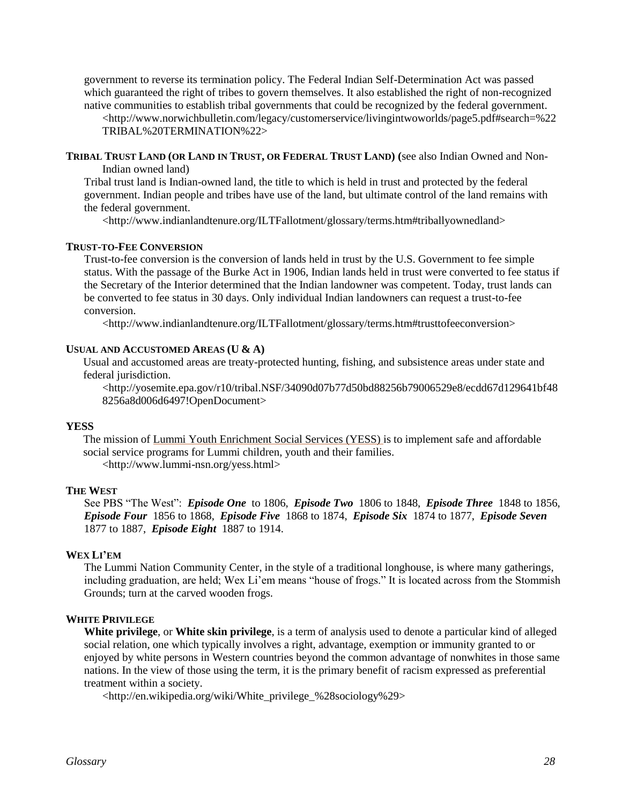government to reverse its termination policy. The Federal Indian Self-Determination Act was passed which guaranteed the right of tribes to govern themselves. It also established the right of non-recognized native communities to establish tribal governments that could be recognized by the federal government. <http://www.norwichbulletin.com/legacy/customerservice/livingintwoworlds/page5.pdf#search=%22 TRIBAL%20TERMINATION%22>

TRIBAL TRUST LAND (OR LAND IN TRUST, OR FEDERAL TRUST LAND) (see also Indian Owned and Non-Indian owned land)

Tribal trust land is Indian-owned land, the title to which is held in trust and protected by the federal government. Indian people and tribes have use of the land, but ultimate control of the land remains with the federal government.

<http://www.indianlandtenure.org/ILTFallotment/glossary/terms.htm#triballyownedland>

#### **TRUST-TO-FEE CONVERSION**

Trust-to-fee conversion is the conversion of lands held in trust by the U.S. Government to fee simple status. With the passage of the Burke Act in 1906, Indian lands held in trust were converted to fee status if the Secretary of the Interior determined that the Indian landowner was competent. Today, trust lands can be converted to fee status in 30 days. Only individual Indian landowners can request a trust-to-fee conversion.

<http://www.indianlandtenure.org/ILTFallotment/glossary/terms.htm#trusttofeeconversion>

#### **USUAL AND ACCUSTOMED AREAS (U & A)**

Usual and accustomed areas are treaty-protected hunting, fishing, and subsistence areas under state and federal jurisdiction.

<http://yosemite.epa.gov/r10/tribal.NSF/34090d07b77d50bd88256b79006529e8/ecdd67d129641bf48 8256a8d006d6497!OpenDocument>

#### **YESS**

The mission of Lummi Youth Enrichment Social Services (YESS) is to implement safe and affordable social service programs for Lummi children, youth and their families. <http://www.lummi-nsn.org/yess.html>

#### **THE WEST**

See PBS "The West": *Episode One* to 1806, *Episode Two* 1806 to 1848, *Episode Three* 1848 to 1856, *Episode Four* 1856 to 1868, *Episode Five* 1868 to 1874, *Episode Six* 1874 to 1877, *Episode Seven* 1877 to 1887, *Episode Eight* 1887 to 1914.

#### **WEX LI'EM**

The Lummi Nation Community Center, in the style of a traditional longhouse, is where many gatherings, including graduation, are held; Wex Li'em means "house of frogs." It is located across from the Stommish Grounds; turn at the carved wooden frogs.

## **WHITE PRIVILEGE**

**White privilege**, or **White skin privilege**, is a term of analysis used to denote a particular kind of alleged [social](http://en.wikipedia.org/wiki/Social) relation, one which typically involves a right, advantage, exemption or [immunity](http://en.wikipedia.org/wiki/Immunity_%28legal%29) granted to or enjoyed by [white persons](http://en.wikipedia.org/wiki/Whites) in [Western](http://en.wikipedia.org/wiki/Western_world) countries beyond the common advantage of nonwhites in those same nations. In the view of those using the term, it is the primary benefit of [racism](http://en.wikipedia.org/wiki/Racism) expressed as preferential treatment within a society.

<http://en.wikipedia.org/wiki/White\_privilege\_%28sociology%29>